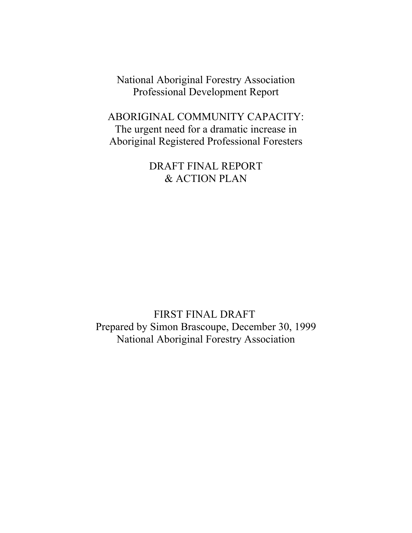National Aboriginal Forestry Association Professional Development Report

ABORIGINAL COMMUNITY CAPACITY: The urgent need for a dramatic increase in Aboriginal Registered Professional Foresters

> DRAFT FINAL REPORT & ACTION PLAN

FIRST FINAL DRAFT Prepared by Simon Brascoupe, December 30, 1999 National Aboriginal Forestry Association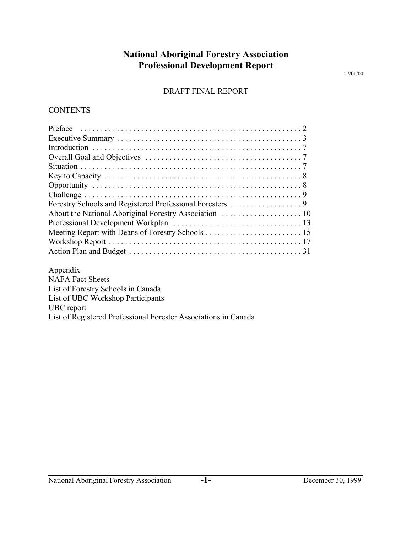## **National Aboriginal Forestry Association Professional Development Report**

27/01/00

#### DRAFT FINAL REPORT

#### **CONTENTS**

| Appendix                           |  |
|------------------------------------|--|
| <b>NAFA Fact Sheets</b>            |  |
| List of Forestry Schools in Canada |  |
|                                    |  |

List of UBC Workshop Participants

### UBC report

List of Registered Professional Forester Associations in Canada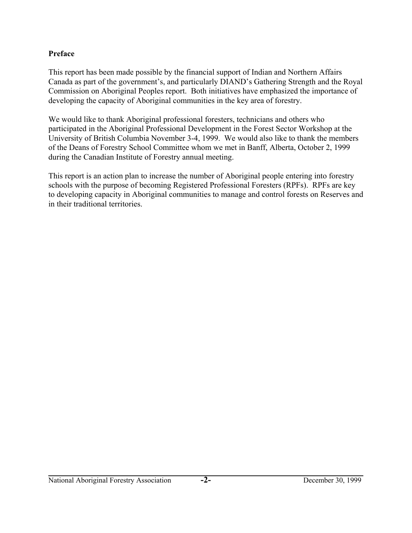### **Preface**

This report has been made possible by the financial support of Indian and Northern Affairs Canada as part of the government's, and particularly DIAND's Gathering Strength and the Royal Commission on Aboriginal Peoples report. Both initiatives have emphasized the importance of developing the capacity of Aboriginal communities in the key area of forestry.

We would like to thank Aboriginal professional foresters, technicians and others who participated in the Aboriginal Professional Development in the Forest Sector Workshop at the University of British Columbia November 3-4, 1999. We would also like to thank the members of the Deans of Forestry School Committee whom we met in Banff, Alberta, October 2, 1999 during the Canadian Institute of Forestry annual meeting.

This report is an action plan to increase the number of Aboriginal people entering into forestry schools with the purpose of becoming Registered Professional Foresters (RPFs). RPFs are key to developing capacity in Aboriginal communities to manage and control forests on Reserves and in their traditional territories.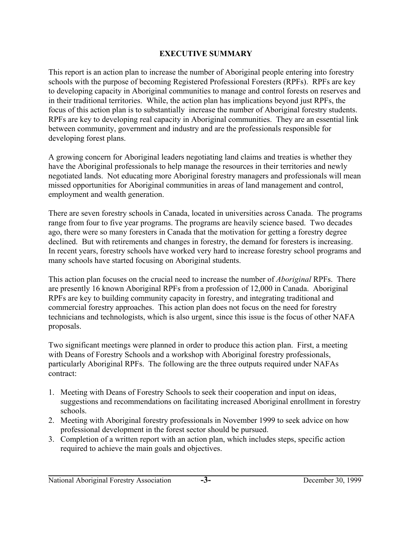### **EXECUTIVE SUMMARY**

This report is an action plan to increase the number of Aboriginal people entering into forestry schools with the purpose of becoming Registered Professional Foresters (RPFs). RPFs are key to developing capacity in Aboriginal communities to manage and control forests on reserves and in their traditional territories. While, the action plan has implications beyond just RPFs, the focus of this action plan is to substantially increase the number of Aboriginal forestry students. RPFs are key to developing real capacity in Aboriginal communities. They are an essential link between community, government and industry and are the professionals responsible for developing forest plans.

A growing concern for Aboriginal leaders negotiating land claims and treaties is whether they have the Aboriginal professionals to help manage the resources in their territories and newly negotiated lands. Not educating more Aboriginal forestry managers and professionals will mean missed opportunities for Aboriginal communities in areas of land management and control, employment and wealth generation.

There are seven forestry schools in Canada, located in universities across Canada. The programs range from four to five year programs. The programs are heavily science based. Two decades ago, there were so many foresters in Canada that the motivation for getting a forestry degree declined. But with retirements and changes in forestry, the demand for foresters is increasing. In recent years, forestry schools have worked very hard to increase forestry school programs and many schools have started focusing on Aboriginal students.

This action plan focuses on the crucial need to increase the number of *Aboriginal* RPFs. There are presently 16 known Aboriginal RPFs from a profession of 12,000 in Canada. Aboriginal RPFs are key to building community capacity in forestry, and integrating traditional and commercial forestry approaches. This action plan does not focus on the need for forestry technicians and technologists, which is also urgent, since this issue is the focus of other NAFA proposals.

Two significant meetings were planned in order to produce this action plan. First, a meeting with Deans of Forestry Schools and a workshop with Aboriginal forestry professionals, particularly Aboriginal RPFs. The following are the three outputs required under NAFAs contract:

- 1. Meeting with Deans of Forestry Schools to seek their cooperation and input on ideas, suggestions and recommendations on facilitating increased Aboriginal enrollment in forestry schools.
- 2. Meeting with Aboriginal forestry professionals in November 1999 to seek advice on how professional development in the forest sector should be pursued.
- 3. Completion of a written report with an action plan, which includes steps, specific action required to achieve the main goals and objectives.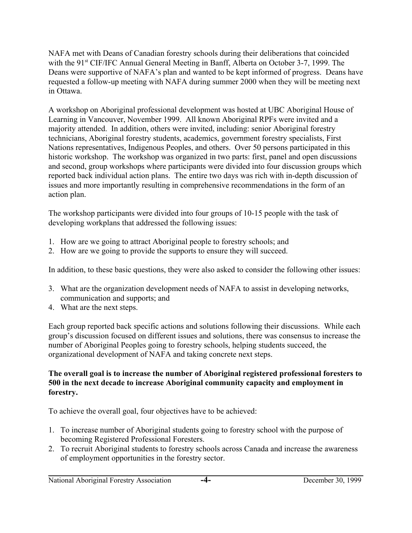NAFA met with Deans of Canadian forestry schools during their deliberations that coincided with the 91<sup>st</sup> CIF/IFC Annual General Meeting in Banff, Alberta on October 3-7, 1999. The Deans were supportive of NAFA's plan and wanted to be kept informed of progress. Deans have requested a follow-up meeting with NAFA during summer 2000 when they will be meeting next in Ottawa.

A workshop on Aboriginal professional development was hosted at UBC Aboriginal House of Learning in Vancouver, November 1999. All known Aboriginal RPFs were invited and a majority attended. In addition, others were invited, including: senior Aboriginal forestry technicians, Aboriginal forestry students, academics, government forestry specialists, First Nations representatives, Indigenous Peoples, and others. Over 50 persons participated in this historic workshop. The workshop was organized in two parts: first, panel and open discussions and second, group workshops where participants were divided into four discussion groups which reported back individual action plans. The entire two days was rich with in-depth discussion of issues and more importantly resulting in comprehensive recommendations in the form of an action plan.

The workshop participants were divided into four groups of 10-15 people with the task of developing workplans that addressed the following issues:

- 1. How are we going to attract Aboriginal people to forestry schools; and
- 2. How are we going to provide the supports to ensure they will succeed.

In addition, to these basic questions, they were also asked to consider the following other issues:

- 3. What are the organization development needs of NAFA to assist in developing networks, communication and supports; and
- 4. What are the next steps.

Each group reported back specific actions and solutions following their discussions. While each group's discussion focused on different issues and solutions, there was consensus to increase the number of Aboriginal Peoples going to forestry schools, helping students succeed, the organizational development of NAFA and taking concrete next steps.

### **The overall goal is to increase the number of Aboriginal registered professional foresters to 500 in the next decade to increase Aboriginal community capacity and employment in forestry.**

To achieve the overall goal, four objectives have to be achieved:

- 1. To increase number of Aboriginal students going to forestry school with the purpose of becoming Registered Professional Foresters.
- 2. To recruit Aboriginal students to forestry schools across Canada and increase the awareness of employment opportunities in the forestry sector.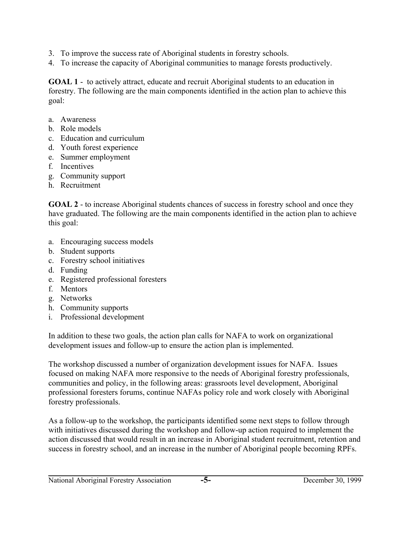- 3. To improve the success rate of Aboriginal students in forestry schools.
- 4. To increase the capacity of Aboriginal communities to manage forests productively.

**GOAL 1** - to actively attract, educate and recruit Aboriginal students to an education in forestry. The following are the main components identified in the action plan to achieve this goal:

- a. Awareness
- b. Role models
- c. Education and curriculum
- d. Youth forest experience
- e. Summer employment
- f. Incentives
- g. Community support
- h. Recruitment

**GOAL 2** - to increase Aboriginal students chances of success in forestry school and once they have graduated. The following are the main components identified in the action plan to achieve this goal:

- a. Encouraging success models
- b. Student supports
- c. Forestry school initiatives
- d. Funding
- e. Registered professional foresters
- f. Mentors
- g. Networks
- h. Community supports
- i. Professional development

In addition to these two goals, the action plan calls for NAFA to work on organizational development issues and follow-up to ensure the action plan is implemented.

The workshop discussed a number of organization development issues for NAFA. Issues focused on making NAFA more responsive to the needs of Aboriginal forestry professionals, communities and policy, in the following areas: grassroots level development, Aboriginal professional foresters forums, continue NAFAs policy role and work closely with Aboriginal forestry professionals.

As a follow-up to the workshop, the participants identified some next steps to follow through with initiatives discussed during the workshop and follow-up action required to implement the action discussed that would result in an increase in Aboriginal student recruitment, retention and success in forestry school, and an increase in the number of Aboriginal people becoming RPFs.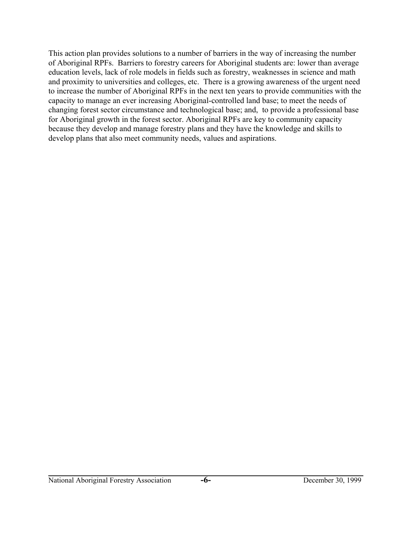This action plan provides solutions to a number of barriers in the way of increasing the number of Aboriginal RPFs. Barriers to forestry careers for Aboriginal students are: lower than average education levels, lack of role models in fields such as forestry, weaknesses in science and math and proximity to universities and colleges, etc. There is a growing awareness of the urgent need to increase the number of Aboriginal RPFs in the next ten years to provide communities with the capacity to manage an ever increasing Aboriginal-controlled land base; to meet the needs of changing forest sector circumstance and technological base; and, to provide a professional base for Aboriginal growth in the forest sector. Aboriginal RPFs are key to community capacity because they develop and manage forestry plans and they have the knowledge and skills to develop plans that also meet community needs, values and aspirations.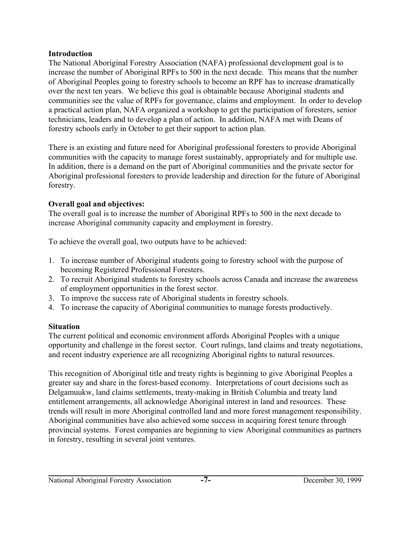### **Introduction**

The National Aboriginal Forestry Association (NAFA) professional development goal is to increase the number of Aboriginal RPFs to 500 in the next decade. This means that the number of Aboriginal Peoples going to forestry schools to become an RPF has to increase dramatically over the next ten years. We believe this goal is obtainable because Aboriginal students and communities see the value of RPFs for governance, claims and employment. In order to develop a practical action plan, NAFA organized a workshop to get the participation of foresters, senior technicians, leaders and to develop a plan of action. In addition, NAFA met with Deans of forestry schools early in October to get their support to action plan.

There is an existing and future need for Aboriginal professional foresters to provide Aboriginal communities with the capacity to manage forest sustainably, appropriately and for multiple use. In addition, there is a demand on the part of Aboriginal communities and the private sector for Aboriginal professional foresters to provide leadership and direction for the future of Aboriginal forestry.

## **Overall goal and objectives:**

The overall goal is to increase the number of Aboriginal RPFs to 500 in the next decade to increase Aboriginal community capacity and employment in forestry.

To achieve the overall goal, two outputs have to be achieved:

- 1. To increase number of Aboriginal students going to forestry school with the purpose of becoming Registered Professional Foresters.
- 2. To recruit Aboriginal students to forestry schools across Canada and increase the awareness of employment opportunities in the forest sector.
- 3. To improve the success rate of Aboriginal students in forestry schools.
- 4. To increase the capacity of Aboriginal communities to manage forests productively.

### **Situation**

The current political and economic environment affords Aboriginal Peoples with a unique opportunity and challenge in the forest sector. Court rulings, land claims and treaty negotiations, and recent industry experience are all recognizing Aboriginal rights to natural resources.

This recognition of Aboriginal title and treaty rights is beginning to give Aboriginal Peoples a greater say and share in the forest-based economy. Interpretations of court decisions such as Delgamuukw, land claims settlements, treaty-making in British Columbia and treaty land entitlement arrangements, all acknowledge Aboriginal interest in land and resources. These trends will result in more Aboriginal controlled land and more forest management responsibility. Aboriginal communities have also achieved some success in acquiring forest tenure through provincial systems. Forest companies are beginning to view Aboriginal communities as partners in forestry, resulting in several joint ventures.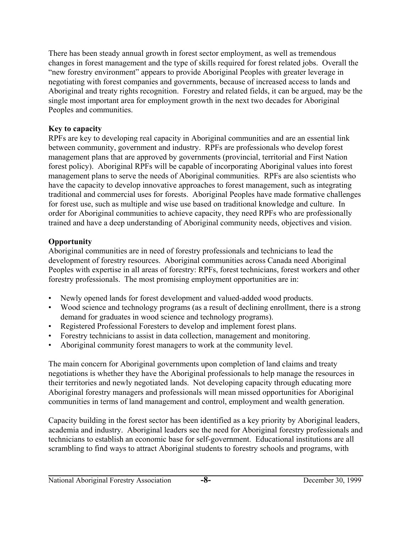There has been steady annual growth in forest sector employment, as well as tremendous changes in forest management and the type of skills required for forest related jobs. Overall the "new forestry environment" appears to provide Aboriginal Peoples with greater leverage in negotiating with forest companies and governments, because of increased access to lands and Aboriginal and treaty rights recognition. Forestry and related fields, it can be argued, may be the single most important area for employment growth in the next two decades for Aboriginal Peoples and communities.

### **Key to capacity**

RPFs are key to developing real capacity in Aboriginal communities and are an essential link between community, government and industry. RPFs are professionals who develop forest management plans that are approved by governments (provincial, territorial and First Nation forest policy). Aboriginal RPFs will be capable of incorporating Aboriginal values into forest management plans to serve the needs of Aboriginal communities. RPFs are also scientists who have the capacity to develop innovative approaches to forest management, such as integrating traditional and commercial uses for forests. Aboriginal Peoples have made formative challenges for forest use, such as multiple and wise use based on traditional knowledge and culture. In order for Aboriginal communities to achieve capacity, they need RPFs who are professionally trained and have a deep understanding of Aboriginal community needs, objectives and vision.

### **Opportunity**

Aboriginal communities are in need of forestry professionals and technicians to lead the development of forestry resources. Aboriginal communities across Canada need Aboriginal Peoples with expertise in all areas of forestry: RPFs, forest technicians, forest workers and other forestry professionals. The most promising employment opportunities are in:

- Newly opened lands for forest development and valued-added wood products.
- Wood science and technology programs (as a result of declining enrollment, there is a strong demand for graduates in wood science and technology programs).
- Registered Professional Foresters to develop and implement forest plans.
- Forestry technicians to assist in data collection, management and monitoring.
- Aboriginal community forest managers to work at the community level.

The main concern for Aboriginal governments upon completion of land claims and treaty negotiations is whether they have the Aboriginal professionals to help manage the resources in their territories and newly negotiated lands. Not developing capacity through educating more Aboriginal forestry managers and professionals will mean missed opportunities for Aboriginal communities in terms of land management and control, employment and wealth generation.

Capacity building in the forest sector has been identified as a key priority by Aboriginal leaders, academia and industry. Aboriginal leaders see the need for Aboriginal forestry professionals and technicians to establish an economic base for self-government. Educational institutions are all scrambling to find ways to attract Aboriginal students to forestry schools and programs, with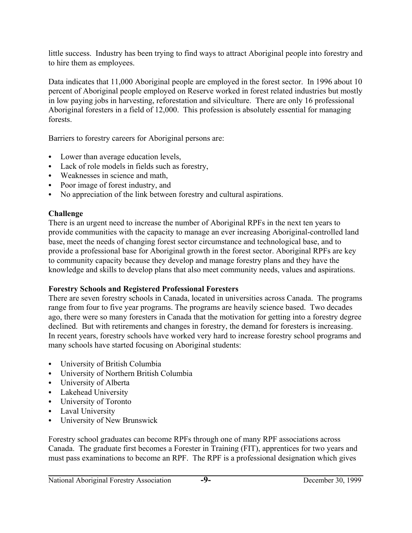little success. Industry has been trying to find ways to attract Aboriginal people into forestry and to hire them as employees.

Data indicates that 11,000 Aboriginal people are employed in the forest sector. In 1996 about 10 percent of Aboriginal people employed on Reserve worked in forest related industries but mostly in low paying jobs in harvesting, reforestation and silviculture. There are only 16 professional Aboriginal foresters in a field of 12,000. This profession is absolutely essential for managing forests.

Barriers to forestry careers for Aboriginal persons are:

- Lower than average education levels,
- Lack of role models in fields such as forestry,
- Weaknesses in science and math,
- Poor image of forest industry, and
- No appreciation of the link between forestry and cultural aspirations.

### **Challenge**

There is an urgent need to increase the number of Aboriginal RPFs in the next ten years to provide communities with the capacity to manage an ever increasing Aboriginal-controlled land base, meet the needs of changing forest sector circumstance and technological base, and to provide a professional base for Aboriginal growth in the forest sector. Aboriginal RPFs are key to community capacity because they develop and manage forestry plans and they have the knowledge and skills to develop plans that also meet community needs, values and aspirations.

### **Forestry Schools and Registered Professional Foresters**

There are seven forestry schools in Canada, located in universities across Canada. The programs range from four to five year programs. The programs are heavily science based. Two decades ago, there were so many foresters in Canada that the motivation for getting into a forestry degree declined. But with retirements and changes in forestry, the demand for foresters is increasing. In recent years, forestry schools have worked very hard to increase forestry school programs and many schools have started focusing on Aboriginal students:

- University of British Columbia
- University of Northern British Columbia
- University of Alberta
- Lakehead University
- University of Toronto
- Laval University
- University of New Brunswick

Forestry school graduates can become RPFs through one of many RPF associations across Canada. The graduate first becomes a Forester in Training (FIT), apprentices for two years and must pass examinations to become an RPF. The RPF is a professional designation which gives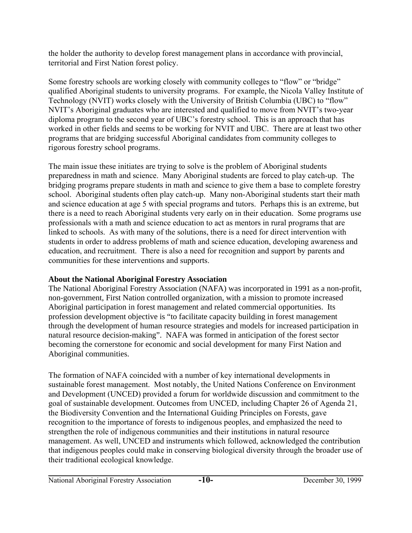the holder the authority to develop forest management plans in accordance with provincial, territorial and First Nation forest policy.

Some forestry schools are working closely with community colleges to "flow" or "bridge" qualified Aboriginal students to university programs. For example, the Nicola Valley Institute of Technology (NVIT) works closely with the University of British Columbia (UBC) to "flow" NVIT's Aboriginal graduates who are interested and qualified to move from NVIT's two-year diploma program to the second year of UBC's forestry school. This is an approach that has worked in other fields and seems to be working for NVIT and UBC. There are at least two other programs that are bridging successful Aboriginal candidates from community colleges to rigorous forestry school programs.

The main issue these initiates are trying to solve is the problem of Aboriginal students preparedness in math and science. Many Aboriginal students are forced to play catch-up. The bridging programs prepare students in math and science to give them a base to complete forestry school. Aboriginal students often play catch-up. Many non-Aboriginal students start their math and science education at age 5 with special programs and tutors. Perhaps this is an extreme, but there is a need to reach Aboriginal students very early on in their education. Some programs use professionals with a math and science education to act as mentors in rural programs that are linked to schools. As with many of the solutions, there is a need for direct intervention with students in order to address problems of math and science education, developing awareness and education, and recruitment. There is also a need for recognition and support by parents and communities for these interventions and supports.

## **About the National Aboriginal Forestry Association**

The National Aboriginal Forestry Association (NAFA) was incorporated in 1991 as a non-profit, non-government, First Nation controlled organization, with a mission to promote increased Aboriginal participation in forest management and related commercial opportunities. Its profession development objective is "to facilitate capacity building in forest management through the development of human resource strategies and models for increased participation in natural resource decision-making". NAFA was formed in anticipation of the forest sector becoming the cornerstone for economic and social development for many First Nation and Aboriginal communities.

The formation of NAFA coincided with a number of key international developments in sustainable forest management. Most notably, the United Nations Conference on Environment and Development (UNCED) provided a forum for worldwide discussion and commitment to the goal of sustainable development. Outcomes from UNCED, including Chapter 26 of Agenda 21, the Biodiversity Convention and the International Guiding Principles on Forests, gave recognition to the importance of forests to indigenous peoples, and emphasized the need to strengthen the role of indigenous communities and their institutions in natural resource management. As well, UNCED and instruments which followed, acknowledged the contribution that indigenous peoples could make in conserving biological diversity through the broader use of their traditional ecological knowledge.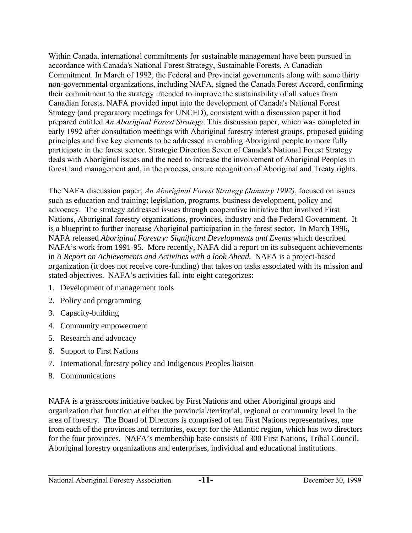Within Canada, international commitments for sustainable management have been pursued in accordance with Canada's National Forest Strategy, Sustainable Forests, A Canadian Commitment. In March of 1992, the Federal and Provincial governments along with some thirty non-governmental organizations, including NAFA, signed the Canada Forest Accord, confirming their commitment to the strategy intended to improve the sustainability of all values from Canadian forests. NAFA provided input into the development of Canada's National Forest Strategy (and preparatory meetings for UNCED), consistent with a discussion paper it had prepared entitled *An Aboriginal Forest Strategy*. This discussion paper, which was completed in early 1992 after consultation meetings with Aboriginal forestry interest groups, proposed guiding principles and five key elements to be addressed in enabling Aboriginal people to more fully participate in the forest sector. Strategic Direction Seven of Canada's National Forest Strategy deals with Aboriginal issues and the need to increase the involvement of Aboriginal Peoples in forest land management and, in the process, ensure recognition of Aboriginal and Treaty rights.

The NAFA discussion paper, *An Aboriginal Forest Strategy (January 1992)*, focused on issues such as education and training; legislation, programs, business development, policy and advocacy. The strategy addressed issues through cooperative initiative that involved First Nations, Aboriginal forestry organizations, provinces, industry and the Federal Government. It is a blueprint to further increase Aboriginal participation in the forest sector. In March 1996, NAFA released *Aboriginal Forestry: Significant Developments and Events* which described NAFA's work from 1991-95. More recently, NAFA did a report on its subsequent achievements in *A Report on Achievements and Activities with a look Ahead.* NAFA is a project-based organization (it does not receive core-funding) that takes on tasks associated with its mission and stated objectives. NAFA's activities fall into eight categorizes:

- 1. Development of management tools
- 2. Policy and programming
- 3. Capacity-building
- 4. Community empowerment
- 5. Research and advocacy
- 6. Support to First Nations
- 7. International forestry policy and Indigenous Peoples liaison
- 8. Communications

NAFA is a grassroots initiative backed by First Nations and other Aboriginal groups and organization that function at either the provincial/territorial, regional or community level in the area of forestry. The Board of Directors is comprised of ten First Nations representatives, one from each of the provinces and territories, except for the Atlantic region, which has two directors for the four provinces. NAFA's membership base consists of 300 First Nations, Tribal Council, Aboriginal forestry organizations and enterprises, individual and educational institutions.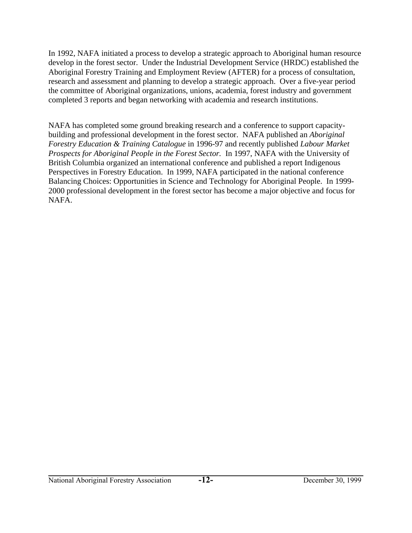In 1992, NAFA initiated a process to develop a strategic approach to Aboriginal human resource develop in the forest sector. Under the Industrial Development Service (HRDC) established the Aboriginal Forestry Training and Employment Review (AFTER) for a process of consultation, research and assessment and planning to develop a strategic approach. Over a five-year period the committee of Aboriginal organizations, unions, academia, forest industry and government completed 3 reports and began networking with academia and research institutions.

NAFA has completed some ground breaking research and a conference to support capacitybuilding and professional development in the forest sector. NAFA published an *Aboriginal Forestry Education & Training Catalogue* in 1996-97 and recently published *Labour Market Prospects for Aboriginal People in the Forest Sector.* In 1997, NAFA with the University of British Columbia organized an international conference and published a report Indigenous Perspectives in Forestry Education. In 1999, NAFA participated in the national conference Balancing Choices: Opportunities in Science and Technology for Aboriginal People. In 1999- 2000 professional development in the forest sector has become a major objective and focus for NAFA.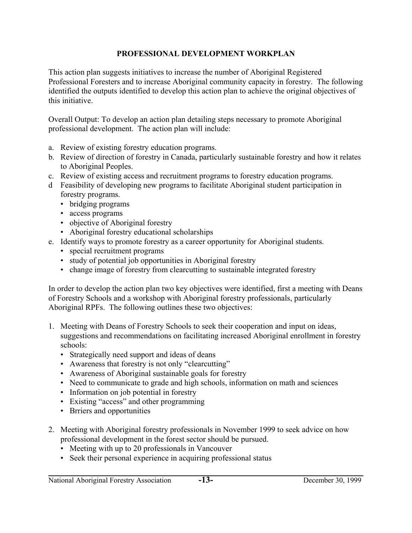### **PROFESSIONAL DEVELOPMENT WORKPLAN**

This action plan suggests initiatives to increase the number of Aboriginal Registered Professional Foresters and to increase Aboriginal community capacity in forestry. The following identified the outputs identified to develop this action plan to achieve the original objectives of this initiative.

Overall Output: To develop an action plan detailing steps necessary to promote Aboriginal professional development. The action plan will include:

- a. Review of existing forestry education programs.
- b. Review of direction of forestry in Canada, particularly sustainable forestry and how it relates to Aboriginal Peoples.
- c. Review of existing access and recruitment programs to forestry education programs.
- d Feasibility of developing new programs to facilitate Aboriginal student participation in forestry programs.
	- bridging programs
	- access programs
	- objective of Aboriginal forestry
	- Aboriginal forestry educational scholarships
- e. Identify ways to promote forestry as a career opportunity for Aboriginal students.
	- special recruitment programs
	- study of potential job opportunities in Aboriginal forestry
	- change image of forestry from clearcutting to sustainable integrated forestry

In order to develop the action plan two key objectives were identified, first a meeting with Deans of Forestry Schools and a workshop with Aboriginal forestry professionals, particularly Aboriginal RPFs. The following outlines these two objectives:

- 1. Meeting with Deans of Forestry Schools to seek their cooperation and input on ideas, suggestions and recommendations on facilitating increased Aboriginal enrollment in forestry schools:
	- Strategically need support and ideas of deans
	- Awareness that forestry is not only "clearcutting"
	- Awareness of Aboriginal sustainable goals for forestry
	- Need to communicate to grade and high schools, information on math and sciences
	- Information on job potential in forestry
	- Existing "access" and other programming
	- Brriers and opportunities
- 2. Meeting with Aboriginal forestry professionals in November 1999 to seek advice on how professional development in the forest sector should be pursued.
	- Meeting with up to 20 professionals in Vancouver
	- Seek their personal experience in acquiring professional status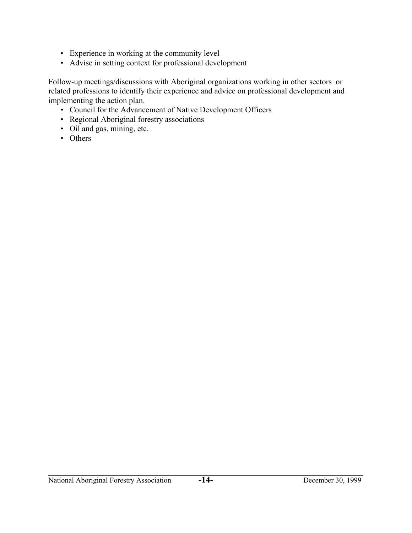- Experience in working at the community level
- Advise in setting context for professional development

Follow-up meetings/discussions with Aboriginal organizations working in other sectors or related professions to identify their experience and advice on professional development and implementing the action plan.

- Council for the Advancement of Native Development Officers
- Regional Aboriginal forestry associations
- Oil and gas, mining, etc.
- Others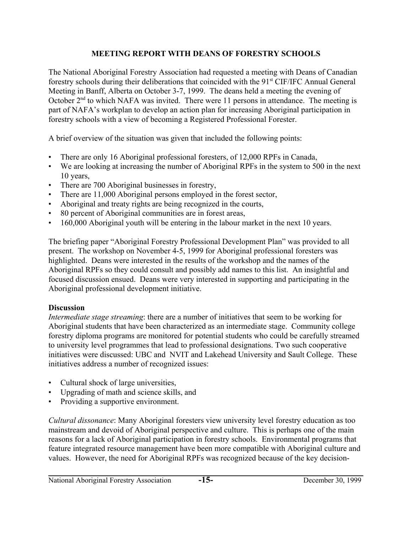### **MEETING REPORT WITH DEANS OF FORESTRY SCHOOLS**

The National Aboriginal Forestry Association had requested a meeting with Deans of Canadian forestry schools during their deliberations that coincided with the 91<sup>st</sup> CIF/IFC Annual General Meeting in Banff, Alberta on October 3-7, 1999. The deans held a meeting the evening of October  $2<sup>nd</sup>$  to which NAFA was invited. There were 11 persons in attendance. The meeting is part of NAFA's workplan to develop an action plan for increasing Aboriginal participation in forestry schools with a view of becoming a Registered Professional Forester.

A brief overview of the situation was given that included the following points:

- There are only 16 Aboriginal professional foresters, of 12,000 RPFs in Canada,
- We are looking at increasing the number of Aboriginal RPFs in the system to 500 in the next 10 years,
- There are 700 Aboriginal businesses in forestry,
- There are 11,000 Aboriginal persons employed in the forest sector,
- Aboriginal and treaty rights are being recognized in the courts,
- 80 percent of Aboriginal communities are in forest areas,
- 160,000 Aboriginal youth will be entering in the labour market in the next 10 years.

The briefing paper "Aboriginal Forestry Professional Development Plan" was provided to all present. The workshop on November 4-5, 1999 for Aboriginal professional foresters was highlighted. Deans were interested in the results of the workshop and the names of the Aboriginal RPFs so they could consult and possibly add names to this list. An insightful and focused discussion ensued. Deans were very interested in supporting and participating in the Aboriginal professional development initiative.

## **Discussion**

*Intermediate stage streaming*: there are a number of initiatives that seem to be working for Aboriginal students that have been characterized as an intermediate stage. Community college forestry diploma programs are monitored for potential students who could be carefully streamed to university level programmes that lead to professional designations. Two such cooperative initiatives were discussed: UBC and NVIT and Lakehead University and Sault College. These initiatives address a number of recognized issues:

- Cultural shock of large universities,
- Upgrading of math and science skills, and
- Providing a supportive environment.

*Cultural dissonance*: Many Aboriginal foresters view university level forestry education as too mainstream and devoid of Aboriginal perspective and culture. This is perhaps one of the main reasons for a lack of Aboriginal participation in forestry schools. Environmental programs that feature integrated resource management have been more compatible with Aboriginal culture and values. However, the need for Aboriginal RPFs was recognized because of the key decision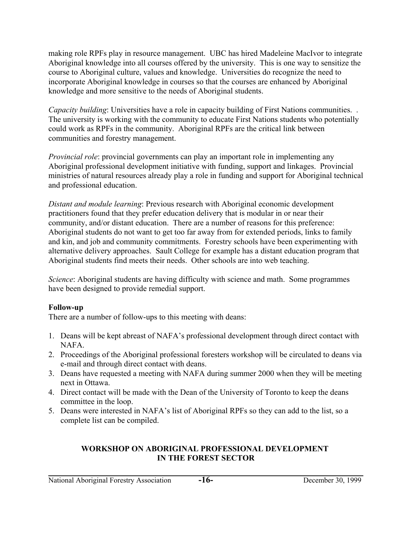making role RPFs play in resource management. UBC has hired Madeleine MacIvor to integrate Aboriginal knowledge into all courses offered by the university. This is one way to sensitize the course to Aboriginal culture, values and knowledge. Universities do recognize the need to incorporate Aboriginal knowledge in courses so that the courses are enhanced by Aboriginal knowledge and more sensitive to the needs of Aboriginal students.

*Capacity building*: Universities have a role in capacity building of First Nations communities. The university is working with the community to educate First Nations students who potentially could work as RPFs in the community. Aboriginal RPFs are the critical link between communities and forestry management.

*Provincial role*: provincial governments can play an important role in implementing any Aboriginal professional development initiative with funding, support and linkages. Provincial ministries of natural resources already play a role in funding and support for Aboriginal technical and professional education.

*Distant and module learning*: Previous research with Aboriginal economic development practitioners found that they prefer education delivery that is modular in or near their community, and/or distant education. There are a number of reasons for this preference: Aboriginal students do not want to get too far away from for extended periods, links to family and kin, and job and community commitments. Forestry schools have been experimenting with alternative delivery approaches. Sault College for example has a distant education program that Aboriginal students find meets their needs. Other schools are into web teaching.

*Science*: Aboriginal students are having difficulty with science and math. Some programmes have been designed to provide remedial support.

### **Follow-up**

There are a number of follow-ups to this meeting with deans:

- 1. Deans will be kept abreast of NAFA's professional development through direct contact with NAFA.
- 2. Proceedings of the Aboriginal professional foresters workshop will be circulated to deans via e-mail and through direct contact with deans.
- 3. Deans have requested a meeting with NAFA during summer 2000 when they will be meeting next in Ottawa.
- 4. Direct contact will be made with the Dean of the University of Toronto to keep the deans committee in the loop.
- 5. Deans were interested in NAFA's list of Aboriginal RPFs so they can add to the list, so a complete list can be compiled.

### **WORKSHOP ON ABORIGINAL PROFESSIONAL DEVELOPMENT IN THE FOREST SECTOR**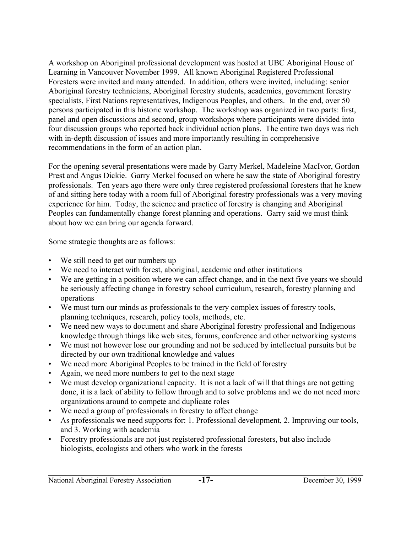A workshop on Aboriginal professional development was hosted at UBC Aboriginal House of Learning in Vancouver November 1999. All known Aboriginal Registered Professional Foresters were invited and many attended. In addition, others were invited, including: senior Aboriginal forestry technicians, Aboriginal forestry students, academics, government forestry specialists, First Nations representatives, Indigenous Peoples, and others. In the end, over 50 persons participated in this historic workshop. The workshop was organized in two parts: first, panel and open discussions and second, group workshops where participants were divided into four discussion groups who reported back individual action plans. The entire two days was rich with in-depth discussion of issues and more importantly resulting in comprehensive recommendations in the form of an action plan.

For the opening several presentations were made by Garry Merkel, Madeleine MacIvor, Gordon Prest and Angus Dickie. Garry Merkel focused on where he saw the state of Aboriginal forestry professionals. Ten years ago there were only three registered professional foresters that he knew of and sitting here today with a room full of Aboriginal forestry professionals was a very moving experience for him. Today, the science and practice of forestry is changing and Aboriginal Peoples can fundamentally change forest planning and operations. Garry said we must think about how we can bring our agenda forward.

Some strategic thoughts are as follows:

- We still need to get our numbers up
- We need to interact with forest, aboriginal, academic and other institutions
- We are getting in a position where we can affect change, and in the next five years we should be seriously affecting change in forestry school curriculum, research, forestry planning and operations
- We must turn our minds as professionals to the very complex issues of forestry tools, planning techniques, research, policy tools, methods, etc.
- We need new ways to document and share Aboriginal forestry professional and Indigenous knowledge through things like web sites, forums, conference and other networking systems
- We must not however lose our grounding and not be seduced by intellectual pursuits but be directed by our own traditional knowledge and values
- We need more Aboriginal Peoples to be trained in the field of forestry
- Again, we need more numbers to get to the next stage
- We must develop organizational capacity. It is not a lack of will that things are not getting done, it is a lack of ability to follow through and to solve problems and we do not need more organizations around to compete and duplicate roles
- We need a group of professionals in forestry to affect change
- As professionals we need supports for: 1. Professional development, 2. Improving our tools, and 3. Working with academia
- Forestry professionals are not just registered professional foresters, but also include biologists, ecologists and others who work in the forests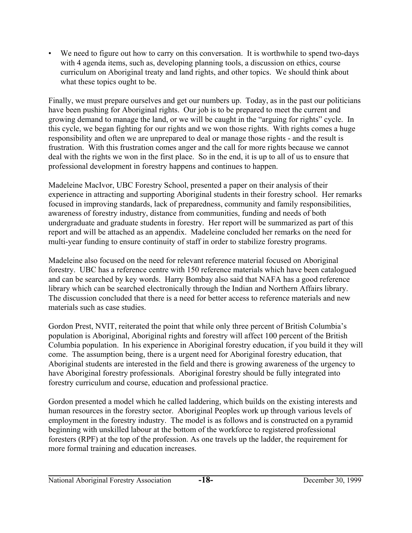• We need to figure out how to carry on this conversation. It is worthwhile to spend two-days with 4 agenda items, such as, developing planning tools, a discussion on ethics, course curriculum on Aboriginal treaty and land rights, and other topics. We should think about what these topics ought to be.

Finally, we must prepare ourselves and get our numbers up. Today, as in the past our politicians have been pushing for Aboriginal rights. Our job is to be prepared to meet the current and growing demand to manage the land, or we will be caught in the "arguing for rights" cycle. In this cycle, we began fighting for our rights and we won those rights. With rights comes a huge responsibility and often we are unprepared to deal or manage those rights - and the result is frustration. With this frustration comes anger and the call for more rights because we cannot deal with the rights we won in the first place. So in the end, it is up to all of us to ensure that professional development in forestry happens and continues to happen.

Madeleine MacIvor, UBC Forestry School, presented a paper on their analysis of their experience in attracting and supporting Aboriginal students in their forestry school. Her remarks focused in improving standards, lack of preparedness, community and family responsibilities, awareness of forestry industry, distance from communities, funding and needs of both undergraduate and graduate students in forestry. Her report will be summarized as part of this report and will be attached as an appendix. Madeleine concluded her remarks on the need for multi-year funding to ensure continuity of staff in order to stabilize forestry programs.

Madeleine also focused on the need for relevant reference material focused on Aboriginal forestry. UBC has a reference centre with 150 reference materials which have been catalogued and can be searched by key words. Harry Bombay also said that NAFA has a good reference library which can be searched electronically through the Indian and Northern Affairs library. The discussion concluded that there is a need for better access to reference materials and new materials such as case studies.

Gordon Prest, NVIT, reiterated the point that while only three percent of British Columbia's population is Aboriginal, Aboriginal rights and forestry will affect 100 percent of the British Columbia population. In his experience in Aboriginal forestry education, if you build it they will come. The assumption being, there is a urgent need for Aboriginal forestry education, that Aboriginal students are interested in the field and there is growing awareness of the urgency to have Aboriginal forestry professionals. Aboriginal forestry should be fully integrated into forestry curriculum and course, education and professional practice.

Gordon presented a model which he called laddering, which builds on the existing interests and human resources in the forestry sector. Aboriginal Peoples work up through various levels of employment in the forestry industry. The model is as follows and is constructed on a pyramid beginning with unskilled labour at the bottom of the workforce to registered professional foresters (RPF) at the top of the profession. As one travels up the ladder, the requirement for more formal training and education increases.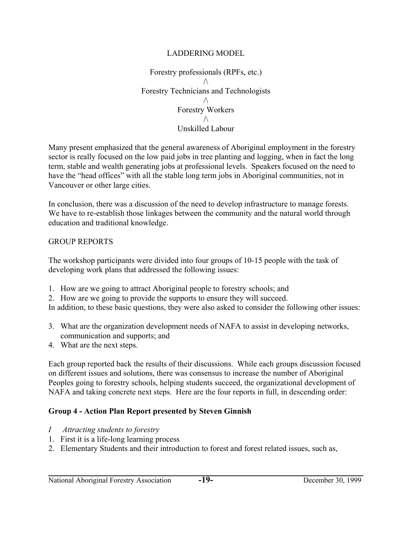#### LADDERING MODEL

Forestry professionals (RPFs, etc.)  $\wedge$ Forestry Technicians and Technologists  $\wedge$ Forestry Workers  $\wedge$ Unskilled Labour

Many present emphasized that the general awareness of Aboriginal employment in the forestry sector is really focused on the low paid jobs in tree planting and logging, when in fact the long term, stable and wealth generating jobs at professional levels. Speakers focused on the need to have the "head offices" with all the stable long term jobs in Aboriginal communities, not in Vancouver or other large cities.

In conclusion, there was a discussion of the need to develop infrastructure to manage forests. We have to re-establish those linkages between the community and the natural world through education and traditional knowledge.

#### GROUP REPORTS

The workshop participants were divided into four groups of 10-15 people with the task of developing work plans that addressed the following issues:

- 1. How are we going to attract Aboriginal people to forestry schools; and
- 2. How are we going to provide the supports to ensure they will succeed.

In addition, to these basic questions, they were also asked to consider the following other issues:

- 3. What are the organization development needs of NAFA to assist in developing networks, communication and supports; and
- 4. What are the next steps.

Each group reported back the results of their discussions. While each groups discussion focused on different issues and solutions, there was consensus to increase the number of Aboriginal Peoples going to forestry schools, helping students succeed, the organizational development of NAFA and taking concrete next steps. Here are the four reports in full, in descending order:

### **Group 4 - Action Plan Report presented by Steven Ginnish**

- *I Attracting students to forestry*
- 1. First it is a life-long learning process
- 2. Elementary Students and their introduction to forest and forest related issues, such as,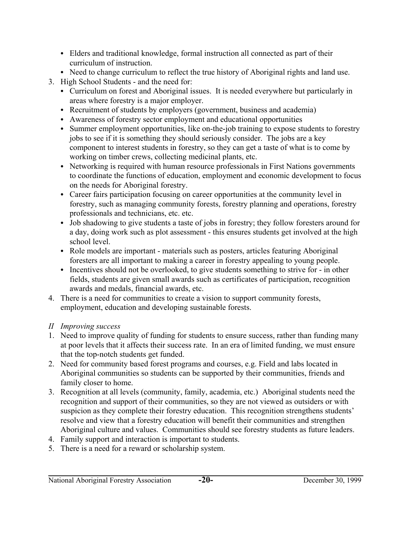- Elders and traditional knowledge, formal instruction all connected as part of their curriculum of instruction.
- Need to change curriculum to reflect the true history of Aboriginal rights and land use.
- 3. High School Students and the need for:
	- Curriculum on forest and Aboriginal issues. It is needed everywhere but particularly in areas where forestry is a major employer.
	- Recruitment of students by employers (government, business and academia)
	- Awareness of forestry sector employment and educational opportunities
	- Summer employment opportunities, like on-the-job training to expose students to forestry jobs to see if it is something they should seriously consider. The jobs are a key component to interest students in forestry, so they can get a taste of what is to come by working on timber crews, collecting medicinal plants, etc.
	- Networking is required with human resource professionals in First Nations governments to coordinate the functions of education, employment and economic development to focus on the needs for Aboriginal forestry.
	- Career fairs participation focusing on career opportunities at the community level in forestry, such as managing community forests, forestry planning and operations, forestry professionals and technicians, etc. etc.
	- Job shadowing to give students a taste of jobs in forestry; they follow foresters around for a day, doing work such as plot assessment - this ensures students get involved at the high school level.
	- Role models are important materials such as posters, articles featuring Aboriginal foresters are all important to making a career in forestry appealing to young people.
	- Incentives should not be overlooked, to give students something to strive for in other fields, students are given small awards such as certificates of participation, recognition awards and medals, financial awards, etc.
- 4. There is a need for communities to create a vision to support community forests, employment, education and developing sustainable forests.

## *II Improving success*

- 1. Need to improve quality of funding for students to ensure success, rather than funding many at poor levels that it affects their success rate. In an era of limited funding, we must ensure that the top-notch students get funded.
- 2. Need for community based forest programs and courses, e.g. Field and labs located in Aboriginal communities so students can be supported by their communities, friends and family closer to home.
- 3. Recognition at all levels (community, family, academia, etc.) Aboriginal students need the recognition and support of their communities, so they are not viewed as outsiders or with suspicion as they complete their forestry education. This recognition strengthens students' resolve and view that a forestry education will benefit their communities and strengthen Aboriginal culture and values. Communities should see forestry students as future leaders.
- 4. Family support and interaction is important to students.
- 5. There is a need for a reward or scholarship system.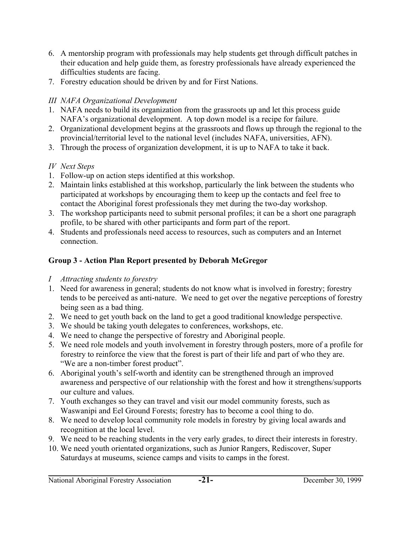- 6. A mentorship program with professionals may help students get through difficult patches in their education and help guide them, as forestry professionals have already experienced the difficulties students are facing.
- 7. Forestry education should be driven by and for First Nations.

# *III NAFA Organizational Development*

- 1. NAFA needs to build its organization from the grassroots up and let this process guide NAFA's organizational development. A top down model is a recipe for failure.
- 2. Organizational development begins at the grassroots and flows up through the regional to the provincial/territorial level to the national level (includes NAFA, universities, AFN).
- 3. Through the process of organization development, it is up to NAFA to take it back.

# *IV Next Steps*

- 1. Follow-up on action steps identified at this workshop.
- 2. Maintain links established at this workshop, particularly the link between the students who participated at workshops by encouraging them to keep up the contacts and feel free to contact the Aboriginal forest professionals they met during the two-day workshop.
- 3. The workshop participants need to submit personal profiles; it can be a short one paragraph profile, to be shared with other participants and form part of the report.
- 4. Students and professionals need access to resources, such as computers and an Internet connection.

# **Group 3 - Action Plan Report presented by Deborah McGregor**

- *I Attracting students to forestry*
- 1. Need for awareness in general; students do not know what is involved in forestry; forestry tends to be perceived as anti-nature. We need to get over the negative perceptions of forestry being seen as a bad thing.
- 2. We need to get youth back on the land to get a good traditional knowledge perspective.
- 3. We should be taking youth delegates to conferences, workshops, etc.
- 4. We need to change the perspective of forestry and Aboriginal people.
- 5. We need role models and youth involvement in forestry through posters, more of a profile for forestry to reinforce the view that the forest is part of their life and part of who they are. "We are a non-timber forest product".
- 6. Aboriginal youth's self-worth and identity can be strengthened through an improved awareness and perspective of our relationship with the forest and how it strengthens/supports our culture and values.
- 7. Youth exchanges so they can travel and visit our model community forests, such as Waswanipi and Eel Ground Forests; forestry has to become a cool thing to do.
- 8. We need to develop local community role models in forestry by giving local awards and recognition at the local level.
- 9. We need to be reaching students in the very early grades, to direct their interests in forestry.
- 10. We need youth orientated organizations, such as Junior Rangers, Rediscover, Super Saturdays at museums, science camps and visits to camps in the forest.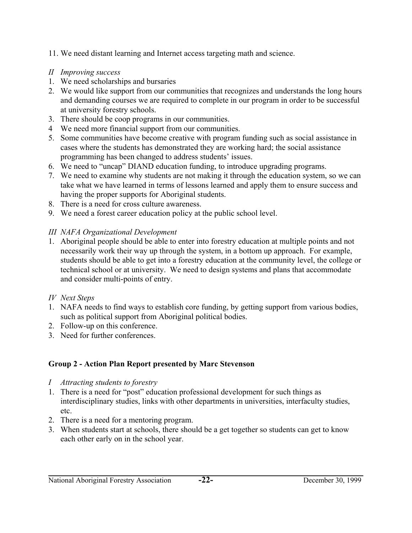- 11. We need distant learning and Internet access targeting math and science.
- *II Improving success*
- 1. We need scholarships and bursaries
- 2. We would like support from our communities that recognizes and understands the long hours and demanding courses we are required to complete in our program in order to be successful at university forestry schools.
- 3. There should be coop programs in our communities.
- 4 We need more financial support from our communities.
- 5. Some communities have become creative with program funding such as social assistance in cases where the students has demonstrated they are working hard; the social assistance programming has been changed to address students' issues.
- 6. We need to "uncap" DIAND education funding, to introduce upgrading programs.
- 7. We need to examine why students are not making it through the education system, so we can take what we have learned in terms of lessons learned and apply them to ensure success and having the proper supports for Aboriginal students.
- 8. There is a need for cross culture awareness.
- 9. We need a forest career education policy at the public school level.

# *III NAFA Organizational Development*

1. Aboriginal people should be able to enter into forestry education at multiple points and not necessarily work their way up through the system, in a bottom up approach. For example, students should be able to get into a forestry education at the community level, the college or technical school or at university. We need to design systems and plans that accommodate and consider multi-points of entry.

## *IV Next Steps*

- 1. NAFA needs to find ways to establish core funding, by getting support from various bodies, such as political support from Aboriginal political bodies.
- 2. Follow-up on this conference.
- 3. Need for further conferences.

# **Group 2 - Action Plan Report presented by Marc Stevenson**

- *I Attracting students to forestry*
- 1. There is a need for "post" education professional development for such things as interdisciplinary studies, links with other departments in universities, interfaculty studies, etc.
- 2. There is a need for a mentoring program.
- 3. When students start at schools, there should be a get together so students can get to know each other early on in the school year.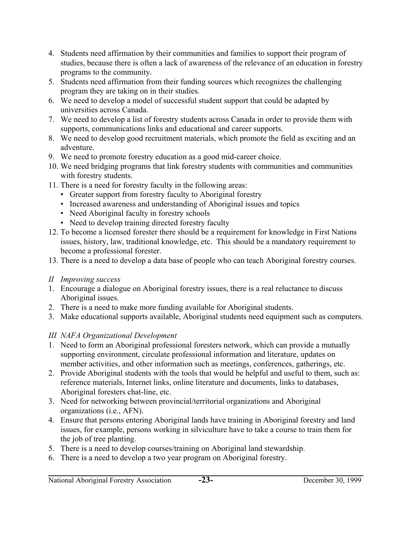- 4. Students need affirmation by their communities and families to support their program of studies, because there is often a lack of awareness of the relevance of an education in forestry programs to the community.
- 5. Students need affirmation from their funding sources which recognizes the challenging program they are taking on in their studies.
- 6. We need to develop a model of successful student support that could be adapted by universities across Canada.
- 7. We need to develop a list of forestry students across Canada in order to provide them with supports, communications links and educational and career supports.
- 8. We need to develop good recruitment materials, which promote the field as exciting and an adventure.
- 9. We need to promote forestry education as a good mid-career choice.
- 10. We need bridging programs that link forestry students with communities and communities with forestry students.
- 11. There is a need for forestry faculty in the following areas:
	- Greater support from forestry faculty to Aboriginal forestry
	- Increased awareness and understanding of Aboriginal issues and topics
	- Need Aboriginal faculty in forestry schools
	- Need to develop training directed forestry faculty
- 12. To become a licensed forester there should be a requirement for knowledge in First Nations issues, history, law, traditional knowledge, etc. This should be a mandatory requirement to become a professional forester.
- 13. There is a need to develop a data base of people who can teach Aboriginal forestry courses.
- *II Improving success*
- 1. Encourage a dialogue on Aboriginal forestry issues, there is a real reluctance to discuss Aboriginal issues.
- 2. There is a need to make more funding available for Aboriginal students.
- 3. Make educational supports available, Aboriginal students need equipment such as computers.

# *III NAFA Organizational Development*

- 1. Need to form an Aboriginal professional foresters network, which can provide a mutually supporting environment, circulate professional information and literature, updates on member activities, and other information such as meetings, conferences, gatherings, etc.
- 2. Provide Aboriginal students with the tools that would be helpful and useful to them, such as: reference materials, Internet links, online literature and documents, links to databases, Aboriginal foresters chat-line, etc.
- 3. Need for networking between provincial/territorial organizations and Aboriginal organizations (i.e., AFN).
- 4. Ensure that persons entering Aboriginal lands have training in Aboriginal forestry and land issues, for example, persons working in silviculture have to take a course to train them for the job of tree planting.
- 5. There is a need to develop courses/training on Aboriginal land stewardship.
- 6. There is a need to develop a two year program on Aboriginal forestry.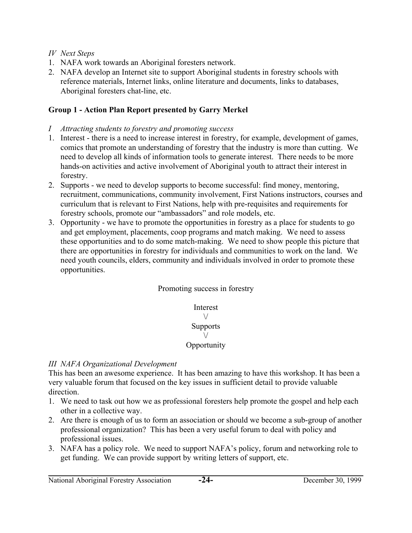- *IV Next Steps*
- 1. NAFA work towards an Aboriginal foresters network.
- 2. NAFA develop an Internet site to support Aboriginal students in forestry schools with reference materials, Internet links, online literature and documents, links to databases, Aboriginal foresters chat-line, etc.

### **Group 1 - Action Plan Report presented by Garry Merkel**

- *I Attracting students to forestry and promoting success*
- 1. Interest there is a need to increase interest in forestry, for example, development of games, comics that promote an understanding of forestry that the industry is more than cutting. We need to develop all kinds of information tools to generate interest. There needs to be more hands-on activities and active involvement of Aboriginal youth to attract their interest in forestry.
- 2. Supports we need to develop supports to become successful: find money, mentoring, recruitment, communications, community involvement, First Nations instructors, courses and curriculum that is relevant to First Nations, help with pre-requisites and requirements for forestry schools, promote our "ambassadors" and role models, etc.
- 3. Opportunity we have to promote the opportunities in forestry as a place for students to go and get employment, placements, coop programs and match making. We need to assess these opportunities and to do some match-making. We need to show people this picture that there are opportunities in forestry for individuals and communities to work on the land. We need youth councils, elders, community and individuals involved in order to promote these opportunities.

Promoting success in forestry

Interest  $\setminus$ **Supports**  $\setminus$ **Opportunity** 

### *III NAFA Organizational Development*

This has been an awesome experience. It has been amazing to have this workshop. It has been a very valuable forum that focused on the key issues in sufficient detail to provide valuable direction.

- 1. We need to task out how we as professional foresters help promote the gospel and help each other in a collective way.
- 2. Are there is enough of us to form an association or should we become a sub-group of another professional organization? This has been a very useful forum to deal with policy and professional issues.
- 3. NAFA has a policy role. We need to support NAFA's policy, forum and networking role to get funding. We can provide support by writing letters of support, etc.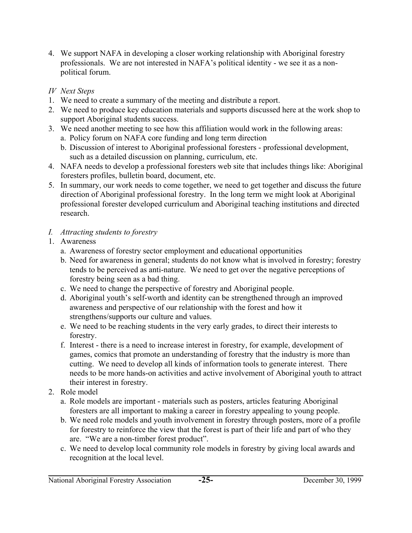4. We support NAFA in developing a closer working relationship with Aboriginal forestry professionals. We are not interested in NAFA's political identity - we see it as a nonpolitical forum.

## *IV Next Steps*

- 1. We need to create a summary of the meeting and distribute a report.
- 2. We need to produce key education materials and supports discussed here at the work shop to support Aboriginal students success.
- 3. We need another meeting to see how this affiliation would work in the following areas:
	- a. Policy forum on NAFA core funding and long term direction
	- b. Discussion of interest to Aboriginal professional foresters professional development, such as a detailed discussion on planning, curriculum, etc.
- 4. NAFA needs to develop a professional foresters web site that includes things like: Aboriginal foresters profiles, bulletin board, document, etc.
- 5. In summary, our work needs to come together, we need to get together and discuss the future direction of Aboriginal professional forestry. In the long term we might look at Aboriginal professional forester developed curriculum and Aboriginal teaching institutions and directed research.
- *I. Attracting students to forestry*
- 1. Awareness
	- a. Awareness of forestry sector employment and educational opportunities
	- b. Need for awareness in general; students do not know what is involved in forestry; forestry tends to be perceived as anti-nature. We need to get over the negative perceptions of forestry being seen as a bad thing.
	- c. We need to change the perspective of forestry and Aboriginal people.
	- d. Aboriginal youth's self-worth and identity can be strengthened through an improved awareness and perspective of our relationship with the forest and how it strengthens/supports our culture and values.
	- e. We need to be reaching students in the very early grades, to direct their interests to forestry.
	- f. Interest there is a need to increase interest in forestry, for example, development of games, comics that promote an understanding of forestry that the industry is more than cutting. We need to develop all kinds of information tools to generate interest. There needs to be more hands-on activities and active involvement of Aboriginal youth to attract their interest in forestry.
- 2. Role model
	- a. Role models are important materials such as posters, articles featuring Aboriginal foresters are all important to making a career in forestry appealing to young people.
	- b. We need role models and youth involvement in forestry through posters, more of a profile for forestry to reinforce the view that the forest is part of their life and part of who they are. "We are a non-timber forest product".
	- c. We need to develop local community role models in forestry by giving local awards and recognition at the local level.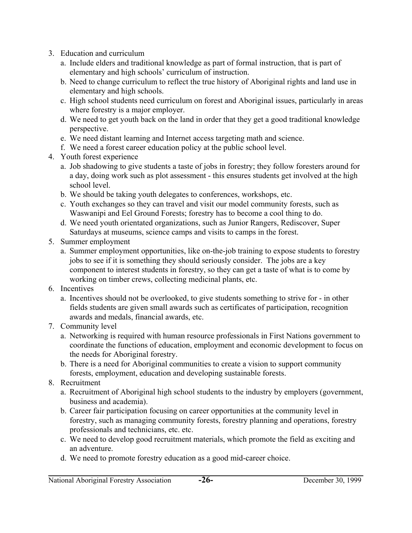- 3. Education and curriculum
	- a. Include elders and traditional knowledge as part of formal instruction, that is part of elementary and high schools' curriculum of instruction.
	- b. Need to change curriculum to reflect the true history of Aboriginal rights and land use in elementary and high schools.
	- c. High school students need curriculum on forest and Aboriginal issues, particularly in areas where forestry is a major employer.
	- d. We need to get youth back on the land in order that they get a good traditional knowledge perspective.
	- e. We need distant learning and Internet access targeting math and science.
	- f. We need a forest career education policy at the public school level.
- 4. Youth forest experience
	- a. Job shadowing to give students a taste of jobs in forestry; they follow foresters around for a day, doing work such as plot assessment - this ensures students get involved at the high school level.
	- b. We should be taking youth delegates to conferences, workshops, etc.
	- c. Youth exchanges so they can travel and visit our model community forests, such as Waswanipi and Eel Ground Forests; forestry has to become a cool thing to do.
	- d. We need youth orientated organizations, such as Junior Rangers, Rediscover, Super Saturdays at museums, science camps and visits to camps in the forest.
- 5. Summer employment
	- a. Summer employment opportunities, like on-the-job training to expose students to forestry jobs to see if it is something they should seriously consider. The jobs are a key component to interest students in forestry, so they can get a taste of what is to come by working on timber crews, collecting medicinal plants, etc.
- 6. Incentives
	- a. Incentives should not be overlooked, to give students something to strive for in other fields students are given small awards such as certificates of participation, recognition awards and medals, financial awards, etc.
- 7. Community level
	- a. Networking is required with human resource professionals in First Nations government to coordinate the functions of education, employment and economic development to focus on the needs for Aboriginal forestry.
	- b. There is a need for Aboriginal communities to create a vision to support community forests, employment, education and developing sustainable forests.
- 8. Recruitment
	- a. Recruitment of Aboriginal high school students to the industry by employers (government, business and academia).
	- b. Career fair participation focusing on career opportunities at the community level in forestry, such as managing community forests, forestry planning and operations, forestry professionals and technicians, etc. etc.
	- c. We need to develop good recruitment materials, which promote the field as exciting and an adventure.
	- d. We need to promote forestry education as a good mid-career choice.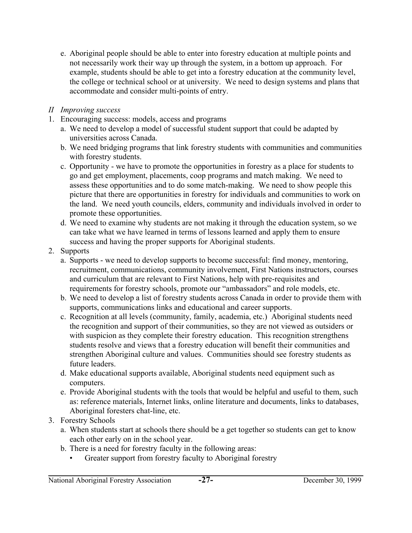- e. Aboriginal people should be able to enter into forestry education at multiple points and not necessarily work their way up through the system, in a bottom up approach. For example, students should be able to get into a forestry education at the community level, the college or technical school or at university. We need to design systems and plans that accommodate and consider multi-points of entry.
- *II Improving success*
- 1. Encouraging success: models, access and programs
	- a. We need to develop a model of successful student support that could be adapted by universities across Canada.
	- b. We need bridging programs that link forestry students with communities and communities with forestry students.
	- c. Opportunity we have to promote the opportunities in forestry as a place for students to go and get employment, placements, coop programs and match making. We need to assess these opportunities and to do some match-making. We need to show people this picture that there are opportunities in forestry for individuals and communities to work on the land. We need youth councils, elders, community and individuals involved in order to promote these opportunities.
	- d. We need to examine why students are not making it through the education system, so we can take what we have learned in terms of lessons learned and apply them to ensure success and having the proper supports for Aboriginal students.
- 2. Supports
	- a. Supports we need to develop supports to become successful: find money, mentoring, recruitment, communications, community involvement, First Nations instructors, courses and curriculum that are relevant to First Nations, help with pre-requisites and requirements for forestry schools, promote our "ambassadors" and role models, etc.
	- b. We need to develop a list of forestry students across Canada in order to provide them with supports, communications links and educational and career supports.
	- c. Recognition at all levels (community, family, academia, etc.) Aboriginal students need the recognition and support of their communities, so they are not viewed as outsiders or with suspicion as they complete their forestry education. This recognition strengthens students resolve and views that a forestry education will benefit their communities and strengthen Aboriginal culture and values. Communities should see forestry students as future leaders.
	- d. Make educational supports available, Aboriginal students need equipment such as computers.
	- e. Provide Aboriginal students with the tools that would be helpful and useful to them, such as: reference materials, Internet links, online literature and documents, links to databases, Aboriginal foresters chat-line, etc.
- 3. Forestry Schools
	- a. When students start at schools there should be a get together so students can get to know each other early on in the school year.
	- b. There is a need for forestry faculty in the following areas:
		- Greater support from forestry faculty to Aboriginal forestry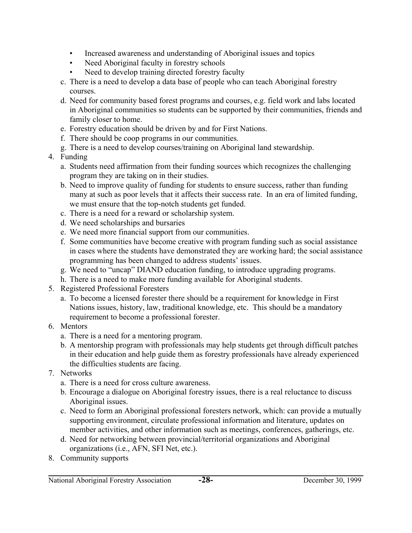- Increased awareness and understanding of Aboriginal issues and topics
- Need Aboriginal faculty in forestry schools
- Need to develop training directed forestry faculty
- c. There is a need to develop a data base of people who can teach Aboriginal forestry courses.
- d. Need for community based forest programs and courses, e.g. field work and labs located in Aboriginal communities so students can be supported by their communities, friends and family closer to home.
- e. Forestry education should be driven by and for First Nations.
- f. There should be coop programs in our communities.
- g. There is a need to develop courses/training on Aboriginal land stewardship.
- 4. Funding
	- a. Students need affirmation from their funding sources which recognizes the challenging program they are taking on in their studies.
	- b. Need to improve quality of funding for students to ensure success, rather than funding many at such as poor levels that it affects their success rate. In an era of limited funding, we must ensure that the top-notch students get funded.
	- c. There is a need for a reward or scholarship system.
	- d. We need scholarships and bursaries
	- e. We need more financial support from our communities.
	- f. Some communities have become creative with program funding such as social assistance in cases where the students have demonstrated they are working hard; the social assistance programming has been changed to address students' issues.
	- g. We need to "uncap" DIAND education funding, to introduce upgrading programs.
	- h. There is a need to make more funding available for Aboriginal students.
- 5. Registered Professional Foresters
	- a. To become a licensed forester there should be a requirement for knowledge in First Nations issues, history, law, traditional knowledge, etc. This should be a mandatory requirement to become a professional forester.

# 6. Mentors

- a. There is a need for a mentoring program.
- b. A mentorship program with professionals may help students get through difficult patches in their education and help guide them as forestry professionals have already experienced the difficulties students are facing.
- 7. Networks
	- a. There is a need for cross culture awareness.
	- b. Encourage a dialogue on Aboriginal forestry issues, there is a real reluctance to discuss Aboriginal issues.
	- c. Need to form an Aboriginal professional foresters network, which: can provide a mutually supporting environment, circulate professional information and literature, updates on member activities, and other information such as meetings, conferences, gatherings, etc.
	- d. Need for networking between provincial/territorial organizations and Aboriginal organizations (i.e., AFN, SFI Net, etc.).
- 8. Community supports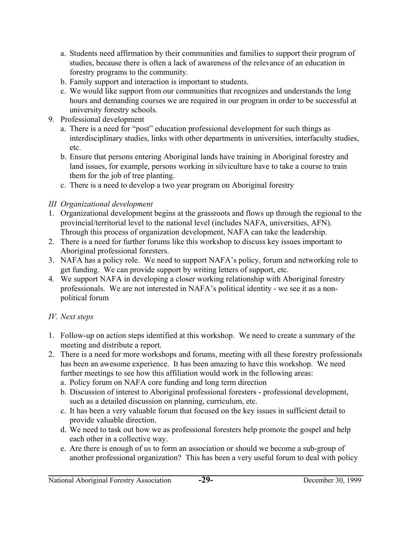- a. Students need affirmation by their communities and families to support their program of studies, because there is often a lack of awareness of the relevance of an education in forestry programs to the community.
- b. Family support and interaction is important to students.
- c. We would like support from our communities that recognizes and understands the long hours and demanding courses we are required in our program in order to be successful at university forestry schools.
- 9. Professional development
	- a. There is a need for "post" education professional development for such things as interdisciplinary studies, links with other departments in universities, interfaculty studies, etc.
	- b. Ensure that persons entering Aboriginal lands have training in Aboriginal forestry and land issues, for example, persons working in silviculture have to take a course to train them for the job of tree planting.
	- c. There is a need to develop a two year program on Aboriginal forestry

# *III Organizational development*

- 1. Organizational development begins at the grassroots and flows up through the regional to the provincial/territorial level to the national level (includes NAFA, universities, AFN). Through this process of organization development, NAFA can take the leadership.
- 2. There is a need for further forums like this workshop to discuss key issues important to Aboriginal professional foresters.
- 3. NAFA has a policy role. We need to support NAFA's policy, forum and networking role to get funding. We can provide support by writing letters of support, etc.
- 4. We support NAFA in developing a closer working relationship with Aboriginal forestry professionals. We are not interested in NAFA's political identity - we see it as a nonpolitical forum

# *IV. Next steps*

- 1. Follow-up on action steps identified at this workshop. We need to create a summary of the meeting and distribute a report.
- 2. There is a need for more workshops and forums, meeting with all these forestry professionals has been an awesome experience. It has been amazing to have this workshop. We need further meetings to see how this affiliation would work in the following areas:
	- a. Policy forum on NAFA core funding and long term direction
	- b. Discussion of interest to Aboriginal professional foresters professional development, such as a detailed discussion on planning, curriculum, etc.
	- c. It has been a very valuable forum that focused on the key issues in sufficient detail to provide valuable direction.
	- d. We need to task out how we as professional foresters help promote the gospel and help each other in a collective way.
	- e. Are there is enough of us to form an association or should we become a sub-group of another professional organization? This has been a very useful forum to deal with policy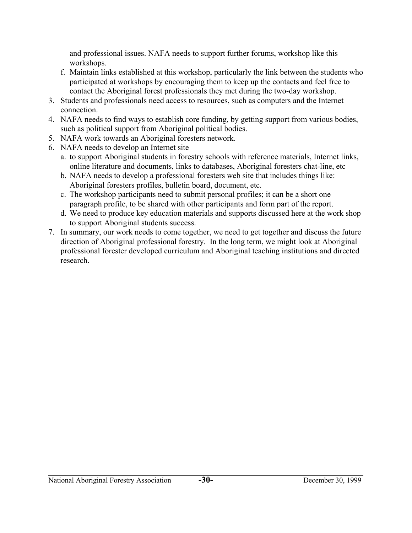and professional issues. NAFA needs to support further forums, workshop like this workshops.

- f. Maintain links established at this workshop, particularly the link between the students who participated at workshops by encouraging them to keep up the contacts and feel free to contact the Aboriginal forest professionals they met during the two-day workshop.
- 3. Students and professionals need access to resources, such as computers and the Internet connection.
- 4. NAFA needs to find ways to establish core funding, by getting support from various bodies, such as political support from Aboriginal political bodies.
- 5. NAFA work towards an Aboriginal foresters network.
- 6. NAFA needs to develop an Internet site
	- a. to support Aboriginal students in forestry schools with reference materials, Internet links, online literature and documents, links to databases, Aboriginal foresters chat-line, etc
	- b. NAFA needs to develop a professional foresters web site that includes things like: Aboriginal foresters profiles, bulletin board, document, etc.
	- c. The workshop participants need to submit personal profiles; it can be a short one paragraph profile, to be shared with other participants and form part of the report.
	- d. We need to produce key education materials and supports discussed here at the work shop to support Aboriginal students success.
- 7. In summary, our work needs to come together, we need to get together and discuss the future direction of Aboriginal professional forestry. In the long term, we might look at Aboriginal professional forester developed curriculum and Aboriginal teaching institutions and directed research.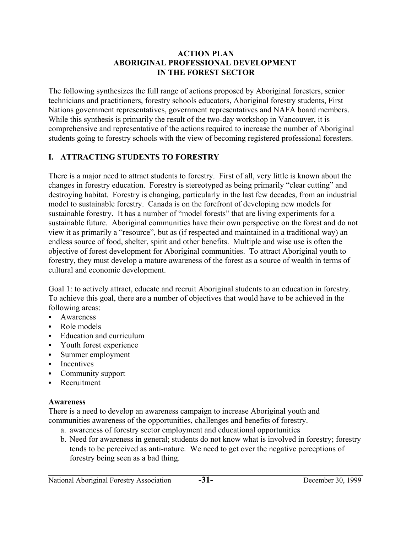#### **ACTION PLAN ABORIGINAL PROFESSIONAL DEVELOPMENT IN THE FOREST SECTOR**

The following synthesizes the full range of actions proposed by Aboriginal foresters, senior technicians and practitioners, forestry schools educators, Aboriginal forestry students, First Nations government representatives, government representatives and NAFA board members. While this synthesis is primarily the result of the two-day workshop in Vancouver, it is comprehensive and representative of the actions required to increase the number of Aboriginal students going to forestry schools with the view of becoming registered professional foresters.

## **I. ATTRACTING STUDENTS TO FORESTRY**

There is a major need to attract students to forestry. First of all, very little is known about the changes in forestry education. Forestry is stereotyped as being primarily "clear cutting" and destroying habitat. Forestry is changing, particularly in the last few decades, from an industrial model to sustainable forestry. Canada is on the forefront of developing new models for sustainable forestry. It has a number of "model forests" that are living experiments for a sustainable future. Aboriginal communities have their own perspective on the forest and do not view it as primarily a "resource", but as (if respected and maintained in a traditional way) an endless source of food, shelter, spirit and other benefits. Multiple and wise use is often the objective of forest development for Aboriginal communities. To attract Aboriginal youth to forestry, they must develop a mature awareness of the forest as a source of wealth in terms of cultural and economic development.

Goal 1: to actively attract, educate and recruit Aboriginal students to an education in forestry. To achieve this goal, there are a number of objectives that would have to be achieved in the following areas:

- Awareness
- Role models
- Education and curriculum
- Youth forest experience
- Summer employment
- Incentives
- Community support
- Recruitment

### **Awareness**

There is a need to develop an awareness campaign to increase Aboriginal youth and communities awareness of the opportunities, challenges and benefits of forestry.

- a. awareness of forestry sector employment and educational opportunities
- b. Need for awareness in general; students do not know what is involved in forestry; forestry tends to be perceived as anti-nature. We need to get over the negative perceptions of forestry being seen as a bad thing.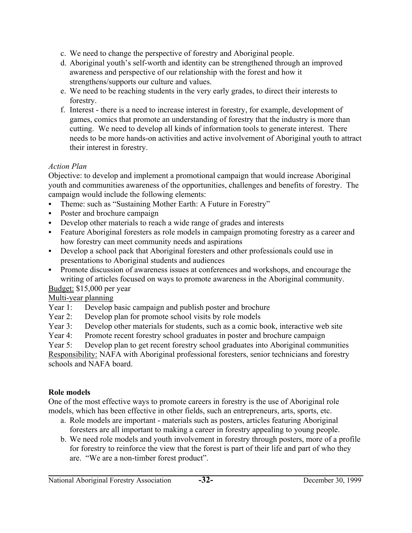- c. We need to change the perspective of forestry and Aboriginal people.
- d. Aboriginal youth's self-worth and identity can be strengthened through an improved awareness and perspective of our relationship with the forest and how it strengthens/supports our culture and values.
- e. We need to be reaching students in the very early grades, to direct their interests to forestry.
- f. Interest there is a need to increase interest in forestry, for example, development of games, comics that promote an understanding of forestry that the industry is more than cutting. We need to develop all kinds of information tools to generate interest. There needs to be more hands-on activities and active involvement of Aboriginal youth to attract their interest in forestry.

### *Action Plan*

Objective: to develop and implement a promotional campaign that would increase Aboriginal youth and communities awareness of the opportunities, challenges and benefits of forestry. The campaign would include the following elements:

- Theme: such as "Sustaining Mother Earth: A Future in Forestry"
- Poster and brochure campaign
- Develop other materials to reach a wide range of grades and interests
- Feature Aboriginal foresters as role models in campaign promoting forestry as a career and how forestry can meet community needs and aspirations
- Develop a school pack that Aboriginal foresters and other professionals could use in presentations to Aboriginal students and audiences
- Promote discussion of awareness issues at conferences and workshops, and encourage the writing of articles focused on ways to promote awareness in the Aboriginal community.

Budget: \$15,000 per year

Multi-year planning

- Year 1: Develop basic campaign and publish poster and brochure
- Year 2: Develop plan for promote school visits by role models
- Year 3: Develop other materials for students, such as a comic book, interactive web site
- Year 4: Promote recent forestry school graduates in poster and brochure campaign

Year 5: Develop plan to get recent forestry school graduates into Aboriginal communities Responsibility: NAFA with Aboriginal professional foresters, senior technicians and forestry schools and NAFA board.

## **Role models**

One of the most effective ways to promote careers in forestry is the use of Aboriginal role models, which has been effective in other fields, such an entrepreneurs, arts, sports, etc.

- a. Role models are important materials such as posters, articles featuring Aboriginal foresters are all important to making a career in forestry appealing to young people.
- b. We need role models and youth involvement in forestry through posters, more of a profile for forestry to reinforce the view that the forest is part of their life and part of who they are. "We are a non-timber forest product".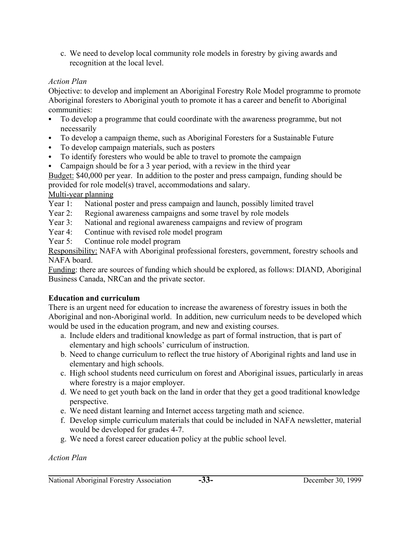c. We need to develop local community role models in forestry by giving awards and recognition at the local level.

### *Action Plan*

Objective: to develop and implement an Aboriginal Forestry Role Model programme to promote Aboriginal foresters to Aboriginal youth to promote it has a career and benefit to Aboriginal communities:

- To develop a programme that could coordinate with the awareness programme, but not necessarily
- To develop a campaign theme, such as Aboriginal Foresters for a Sustainable Future
- To develop campaign materials, such as posters
- To identify foresters who would be able to travel to promote the campaign
- Campaign should be for a 3 year period, with a review in the third year

Budget: \$40,000 per year. In addition to the poster and press campaign, funding should be provided for role model(s) travel, accommodations and salary.

## Multi-year planning

- Year 1: National poster and press campaign and launch, possibly limited travel
- Year 2: Regional awareness campaigns and some travel by role models
- Year 3: National and regional awareness campaigns and review of program
- Year 4: Continue with revised role model program
- Year 5: Continue role model program

Responsibility: NAFA with Aboriginal professional foresters, government, forestry schools and NAFA board.

Funding: there are sources of funding which should be explored, as follows: DIAND, Aboriginal Business Canada, NRCan and the private sector.

## **Education and curriculum**

There is an urgent need for education to increase the awareness of forestry issues in both the Aboriginal and non-Aboriginal world. In addition, new curriculum needs to be developed which would be used in the education program, and new and existing courses.

- a. Include elders and traditional knowledge as part of formal instruction, that is part of elementary and high schools' curriculum of instruction.
- b. Need to change curriculum to reflect the true history of Aboriginal rights and land use in elementary and high schools.
- c. High school students need curriculum on forest and Aboriginal issues, particularly in areas where forestry is a major employer.
- d. We need to get youth back on the land in order that they get a good traditional knowledge perspective.
- e. We need distant learning and Internet access targeting math and science.
- f. Develop simple curriculum materials that could be included in NAFA newsletter, material would be developed for grades 4-7.
- g. We need a forest career education policy at the public school level.

### *Action Plan*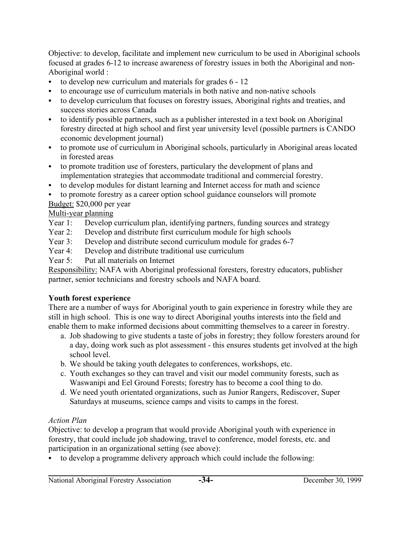Objective: to develop, facilitate and implement new curriculum to be used in Aboriginal schools focused at grades 6-12 to increase awareness of forestry issues in both the Aboriginal and non-Aboriginal world :

- to develop new curriculum and materials for grades  $6 12$
- to encourage use of curriculum materials in both native and non-native schools
- to develop curriculum that focuses on forestry issues, Aboriginal rights and treaties, and success stories across Canada
- to identify possible partners, such as a publisher interested in a text book on Aboriginal forestry directed at high school and first year university level (possible partners is CANDO economic development journal)
- to promote use of curriculum in Aboriginal schools, particularly in Aboriginal areas located in forested areas
- to promote tradition use of foresters, particulary the development of plans and implementation strategies that accommodate traditional and commercial forestry.
- to develop modules for distant learning and Internet access for math and science
- to promote forestry as a career option school guidance counselors will promote Budget: \$20,000 per year

## Multi-year planning

- Year 1: Develop curriculum plan, identifying partners, funding sources and strategy
- Year 2: Develop and distribute first curriculum module for high schools
- Year 3: Develop and distribute second curriculum module for grades 6-7
- Year 4: Develop and distribute traditional use curriculum
- Year 5: Put all materials on Internet

Responsibility: NAFA with Aboriginal professional foresters, forestry educators, publisher partner, senior technicians and forestry schools and NAFA board.

## **Youth forest experience**

There are a number of ways for Aboriginal youth to gain experience in forestry while they are still in high school. This is one way to direct Aboriginal youths interests into the field and enable them to make informed decisions about committing themselves to a career in forestry.

- a. Job shadowing to give students a taste of jobs in forestry; they follow foresters around for a day, doing work such as plot assessment - this ensures students get involved at the high school level.
- b. We should be taking youth delegates to conferences, workshops, etc.
- c. Youth exchanges so they can travel and visit our model community forests, such as Waswanipi and Eel Ground Forests; forestry has to become a cool thing to do.
- d. We need youth orientated organizations, such as Junior Rangers, Rediscover, Super Saturdays at museums, science camps and visits to camps in the forest.

## *Action Plan*

Objective: to develop a program that would provide Aboriginal youth with experience in forestry, that could include job shadowing, travel to conference, model forests, etc. and participation in an organizational setting (see above):

 $\bullet$  to develop a programme delivery approach which could include the following: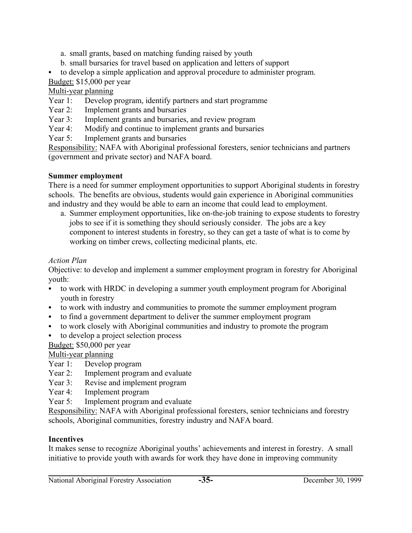- a. small grants, based on matching funding raised by youth
- b. small bursaries for travel based on application and letters of support
- to develop a simple application and approval procedure to administer program. Budget: \$15,000 per year

Multi-year planning

- Year 1: Develop program, identify partners and start programme
- Year 2: Implement grants and bursaries
- Year 3: Implement grants and bursaries, and review program
- Year 4: Modify and continue to implement grants and bursaries
- Year 5: Implement grants and bursaries

Responsibility: NAFA with Aboriginal professional foresters, senior technicians and partners (government and private sector) and NAFA board.

# **Summer employment**

There is a need for summer employment opportunities to support Aboriginal students in forestry schools. The benefits are obvious, students would gain experience in Aboriginal communities and industry and they would be able to earn an income that could lead to employment.

a. Summer employment opportunities, like on-the-job training to expose students to forestry jobs to see if it is something they should seriously consider. The jobs are a key component to interest students in forestry, so they can get a taste of what is to come by working on timber crews, collecting medicinal plants, etc.

# *Action Plan*

Objective: to develop and implement a summer employment program in forestry for Aboriginal youth:

- to work with HRDC in developing a summer youth employment program for Aboriginal youth in forestry
- to work with industry and communities to promote the summer employment program
- to find a government department to deliver the summer employment program
- to work closely with Aboriginal communities and industry to promote the program
- to develop a project selection process

# Budget: \$50,000 per year

Multi-year planning

- Year 1: Develop program
- Year 2: Implement program and evaluate
- Year 3: Revise and implement program
- Year 4: Implement program
- Year 5: Implement program and evaluate

Responsibility: NAFA with Aboriginal professional foresters, senior technicians and forestry schools, Aboriginal communities, forestry industry and NAFA board.

# **Incentives**

It makes sense to recognize Aboriginal youths' achievements and interest in forestry. A small initiative to provide youth with awards for work they have done in improving community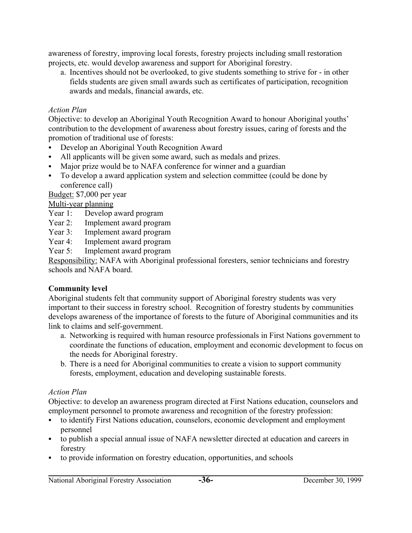awareness of forestry, improving local forests, forestry projects including small restoration projects, etc. would develop awareness and support for Aboriginal forestry.

a. Incentives should not be overlooked, to give students something to strive for - in other fields students are given small awards such as certificates of participation, recognition awards and medals, financial awards, etc.

### *Action Plan*

Objective: to develop an Aboriginal Youth Recognition Award to honour Aboriginal youths' contribution to the development of awareness about forestry issues, caring of forests and the promotion of traditional use of forests:

- Develop an Aboriginal Youth Recognition Award
- All applicants will be given some award, such as medals and prizes.
- Major prize would be to NAFA conference for winner and a guardian
- To develop a award application system and selection committee (could be done by conference call)

Budget: \$7,000 per year

Multi-year planning

- Year 1: Develop award program
- Year 2: Implement award program
- Year 3: Implement award program
- Year 4: Implement award program
- Year 5: Implement award program

Responsibility: NAFA with Aboriginal professional foresters, senior technicians and forestry schools and NAFA board.

### **Community level**

Aboriginal students felt that community support of Aboriginal forestry students was very important to their success in forestry school. Recognition of forestry students by communities develops awareness of the importance of forests to the future of Aboriginal communities and its link to claims and self-government.

- a. Networking is required with human resource professionals in First Nations government to coordinate the functions of education, employment and economic development to focus on the needs for Aboriginal forestry.
- b. There is a need for Aboriginal communities to create a vision to support community forests, employment, education and developing sustainable forests.

### *Action Plan*

Objective: to develop an awareness program directed at First Nations education, counselors and employment personnel to promote awareness and recognition of the forestry profession:

- to identify First Nations education, counselors, economic development and employment personnel
- to publish a special annual issue of NAFA newsletter directed at education and careers in forestry
- to provide information on forestry education, opportunities, and schools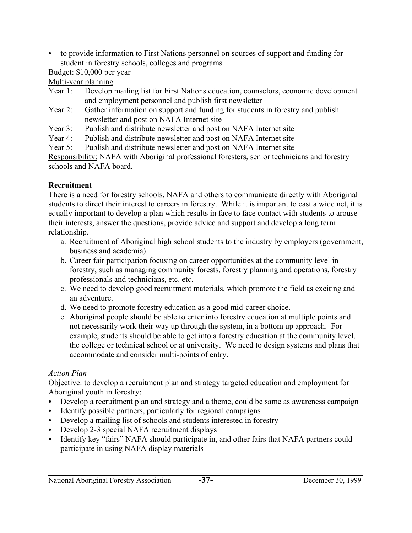• to provide information to First Nations personnel on sources of support and funding for student in forestry schools, colleges and programs

## Budget: \$10,000 per year

Multi-year planning

- Year 1: Develop mailing list for First Nations education, counselors, economic development and employment personnel and publish first newsletter
- Year 2: Gather information on support and funding for students in forestry and publish newsletter and post on NAFA Internet site
- Year 3: Publish and distribute newsletter and post on NAFA Internet site
- Year 4: Publish and distribute newsletter and post on NAFA Internet site
- Year 5: Publish and distribute newsletter and post on NAFA Internet site

Responsibility: NAFA with Aboriginal professional foresters, senior technicians and forestry schools and NAFA board.

## **Recruitment**

There is a need for forestry schools, NAFA and others to communicate directly with Aboriginal students to direct their interest to careers in forestry. While it is important to cast a wide net, it is equally important to develop a plan which results in face to face contact with students to arouse their interests, answer the questions, provide advice and support and develop a long term relationship.

- a. Recruitment of Aboriginal high school students to the industry by employers (government, business and academia).
- b. Career fair participation focusing on career opportunities at the community level in forestry, such as managing community forests, forestry planning and operations, forestry professionals and technicians, etc. etc.
- c. We need to develop good recruitment materials, which promote the field as exciting and an adventure.
- d. We need to promote forestry education as a good mid-career choice.
- e. Aboriginal people should be able to enter into forestry education at multiple points and not necessarily work their way up through the system, in a bottom up approach. For example, students should be able to get into a forestry education at the community level, the college or technical school or at university. We need to design systems and plans that accommodate and consider multi-points of entry.

# *Action Plan*

Objective: to develop a recruitment plan and strategy targeted education and employment for Aboriginal youth in forestry:

- Develop a recruitment plan and strategy and a theme, could be same as awareness campaign
- Identify possible partners, particularly for regional campaigns
- Develop a mailing list of schools and students interested in forestry
- Develop 2-3 special NAFA recruitment displays
- Identify key "fairs" NAFA should participate in, and other fairs that NAFA partners could participate in using NAFA display materials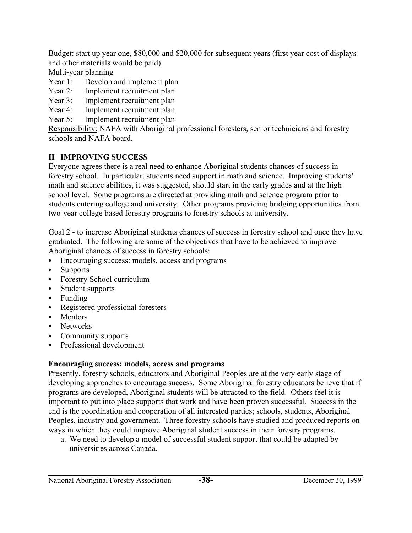Budget: start up year one, \$80,000 and \$20,000 for subsequent years (first year cost of displays and other materials would be paid)

Multi-year planning

Year 1: Develop and implement plan

- Year 2: Implement recruitment plan
- Year 3: Implement recruitment plan
- Year 4: Implement recruitment plan
- Year 5: Implement recruitment plan

Responsibility: NAFA with Aboriginal professional foresters, senior technicians and forestry schools and NAFA board.

# **II IMPROVING SUCCESS**

Everyone agrees there is a real need to enhance Aboriginal students chances of success in forestry school. In particular, students need support in math and science. Improving students' math and science abilities, it was suggested, should start in the early grades and at the high school level. Some programs are directed at providing math and science program prior to students entering college and university. Other programs providing bridging opportunities from two-year college based forestry programs to forestry schools at university.

Goal 2 - to increase Aboriginal students chances of success in forestry school and once they have graduated. The following are some of the objectives that have to be achieved to improve Aboriginal chances of success in forestry schools:

- Encouraging success: models, access and programs
- **Supports**
- Forestry School curriculum
- Student supports
- $\bullet$  Funding
- Registered professional foresters
- Mentors
- Networks
- Community supports
- Professional development

## **Encouraging success: models, access and programs**

Presently, forestry schools, educators and Aboriginal Peoples are at the very early stage of developing approaches to encourage success. Some Aboriginal forestry educators believe that if programs are developed, Aboriginal students will be attracted to the field. Others feel it is important to put into place supports that work and have been proven successful. Success in the end is the coordination and cooperation of all interested parties; schools, students, Aboriginal Peoples, industry and government. Three forestry schools have studied and produced reports on ways in which they could improve Aboriginal student success in their forestry programs.

a. We need to develop a model of successful student support that could be adapted by universities across Canada.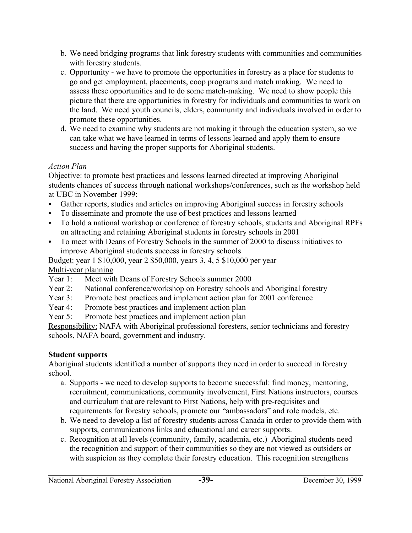- b. We need bridging programs that link forestry students with communities and communities with forestry students.
- c. Opportunity we have to promote the opportunities in forestry as a place for students to go and get employment, placements, coop programs and match making. We need to assess these opportunities and to do some match-making. We need to show people this picture that there are opportunities in forestry for individuals and communities to work on the land. We need youth councils, elders, community and individuals involved in order to promote these opportunities.
- d. We need to examine why students are not making it through the education system, so we can take what we have learned in terms of lessons learned and apply them to ensure success and having the proper supports for Aboriginal students.

## *Action Plan*

Objective: to promote best practices and lessons learned directed at improving Aboriginal students chances of success through national workshops/conferences, such as the workshop held at UBC in November 1999:

- Gather reports, studies and articles on improving Aboriginal success in forestry schools
- To disseminate and promote the use of best practices and lessons learned
- To hold a national workshop or conference of forestry schools, students and Aboriginal RPFs on attracting and retaining Aboriginal students in forestry schools in 2001
- To meet with Deans of Forestry Schools in the summer of 2000 to discuss initiatives to improve Aboriginal students success in forestry schools

Budget: year 1 \$10,000, year 2 \$50,000, years 3, 4, 5 \$10,000 per year Multi-year planning

- Year 1: Meet with Deans of Forestry Schools summer 2000
- Year 2: National conference/workshop on Forestry schools and Aboriginal forestry
- Year 3: Promote best practices and implement action plan for 2001 conference
- Year 4: Promote best practices and implement action plan
- Year 5: Promote best practices and implement action plan

Responsibility: NAFA with Aboriginal professional foresters, senior technicians and forestry schools, NAFA board, government and industry.

## **Student supports**

Aboriginal students identified a number of supports they need in order to succeed in forestry school.

- a. Supports we need to develop supports to become successful: find money, mentoring, recruitment, communications, community involvement, First Nations instructors, courses and curriculum that are relevant to First Nations, help with pre-requisites and requirements for forestry schools, promote our "ambassadors" and role models, etc.
- b. We need to develop a list of forestry students across Canada in order to provide them with supports, communications links and educational and career supports.
- c. Recognition at all levels (community, family, academia, etc.) Aboriginal students need the recognition and support of their communities so they are not viewed as outsiders or with suspicion as they complete their forestry education. This recognition strengthens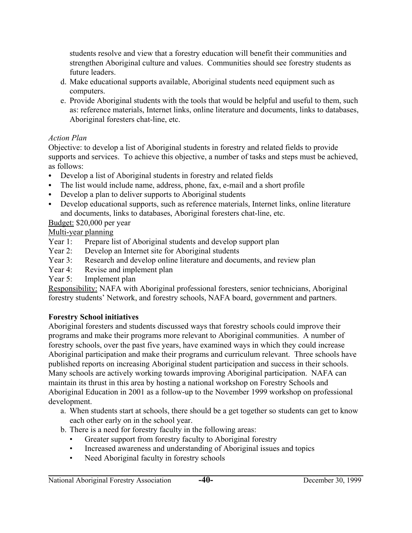students resolve and view that a forestry education will benefit their communities and strengthen Aboriginal culture and values. Communities should see forestry students as future leaders.

- d. Make educational supports available, Aboriginal students need equipment such as computers.
- e. Provide Aboriginal students with the tools that would be helpful and useful to them, such as: reference materials, Internet links, online literature and documents, links to databases, Aboriginal foresters chat-line, etc.

## *Action Plan*

Objective: to develop a list of Aboriginal students in forestry and related fields to provide supports and services. To achieve this objective, a number of tasks and steps must be achieved, as follows:

- Develop a list of Aboriginal students in forestry and related fields
- The list would include name, address, phone, fax, e-mail and a short profile
- Develop a plan to deliver supports to Aboriginal students
- Develop educational supports, such as reference materials, Internet links, online literature and documents, links to databases, Aboriginal foresters chat-line, etc.

Budget: \$20,000 per year

Multi-year planning

- Year 1: Prepare list of Aboriginal students and develop support plan
- Year 2: Develop an Internet site for Aboriginal students
- Year 3: Research and develop online literature and documents, and review plan
- Year 4: Revise and implement plan
- Year 5: Implement plan

Responsibility: NAFA with Aboriginal professional foresters, senior technicians, Aboriginal forestry students' Network, and forestry schools, NAFA board, government and partners.

## **Forestry School initiatives**

Aboriginal foresters and students discussed ways that forestry schools could improve their programs and make their programs more relevant to Aboriginal communities. A number of forestry schools, over the past five years, have examined ways in which they could increase Aboriginal participation and make their programs and curriculum relevant. Three schools have published reports on increasing Aboriginal student participation and success in their schools. Many schools are actively working towards improving Aboriginal participation. NAFA can maintain its thrust in this area by hosting a national workshop on Forestry Schools and Aboriginal Education in 2001 as a follow-up to the November 1999 workshop on professional development.

- a. When students start at schools, there should be a get together so students can get to know each other early on in the school year.
- b. There is a need for forestry faculty in the following areas:
	- Greater support from forestry faculty to Aboriginal forestry
	- Increased awareness and understanding of Aboriginal issues and topics
	- Need Aboriginal faculty in forestry schools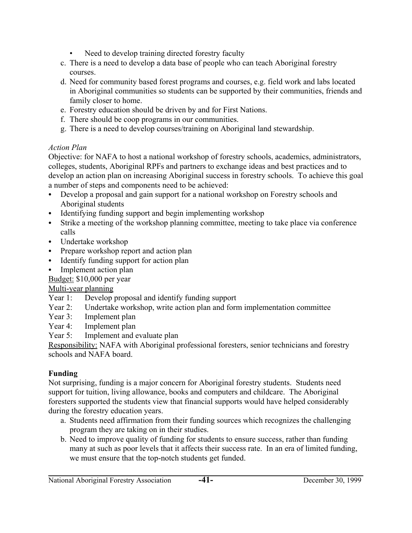- Need to develop training directed forestry faculty
- c. There is a need to develop a data base of people who can teach Aboriginal forestry courses.
- d. Need for community based forest programs and courses, e.g. field work and labs located in Aboriginal communities so students can be supported by their communities, friends and family closer to home.
- e. Forestry education should be driven by and for First Nations.
- f. There should be coop programs in our communities.
- g. There is a need to develop courses/training on Aboriginal land stewardship.

### *Action Plan*

Objective: for NAFA to host a national workshop of forestry schools, academics, administrators, colleges, students, Aboriginal RPFs and partners to exchange ideas and best practices and to develop an action plan on increasing Aboriginal success in forestry schools. To achieve this goal a number of steps and components need to be achieved:

- Develop a proposal and gain support for a national workshop on Forestry schools and Aboriginal students
- Identifying funding support and begin implementing workshop
- C Strike a meeting of the workshop planning committee, meeting to take place via conference calls
- Undertake workshop
- Prepare workshop report and action plan
- Identify funding support for action plan
- Implement action plan

Budget: \$10,000 per year

## Multi-year planning

- Year 1: Develop proposal and identify funding support
- Year 2: Undertake workshop, write action plan and form implementation committee
- Year 3: Implement plan
- Year 4: Implement plan
- Year 5: Implement and evaluate plan

Responsibility: NAFA with Aboriginal professional foresters, senior technicians and forestry schools and NAFA board.

## **Funding**

Not surprising, funding is a major concern for Aboriginal forestry students. Students need support for tuition, living allowance, books and computers and childcare. The Aboriginal foresters supported the students view that financial supports would have helped considerably during the forestry education years.

- a. Students need affirmation from their funding sources which recognizes the challenging program they are taking on in their studies.
- b. Need to improve quality of funding for students to ensure success, rather than funding many at such as poor levels that it affects their success rate. In an era of limited funding, we must ensure that the top-notch students get funded.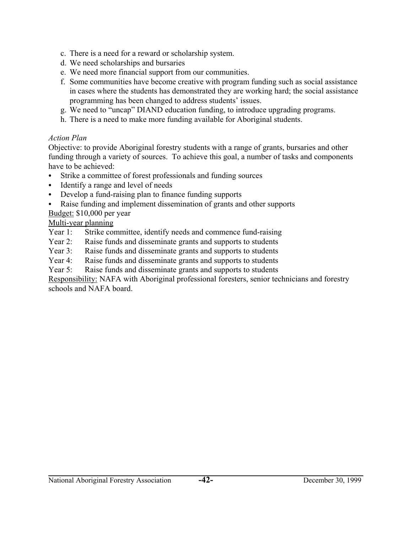- c. There is a need for a reward or scholarship system.
- d. We need scholarships and bursaries
- e. We need more financial support from our communities.
- f. Some communities have become creative with program funding such as social assistance in cases where the students has demonstrated they are working hard; the social assistance programming has been changed to address students' issues.
- g. We need to "uncap" DIAND education funding, to introduce upgrading programs.
- h. There is a need to make more funding available for Aboriginal students.

### *Action Plan*

Objective: to provide Aboriginal forestry students with a range of grants, bursaries and other funding through a variety of sources. To achieve this goal, a number of tasks and components have to be achieved:

- Strike a committee of forest professionals and funding sources
- Identify a range and level of needs
- Develop a fund-raising plan to finance funding supports
- Raise funding and implement dissemination of grants and other supports

Budget: \$10,000 per year

Multi-year planning

- Year 1: Strike committee, identify needs and commence fund-raising
- Year 2: Raise funds and disseminate grants and supports to students
- Year 3: Raise funds and disseminate grants and supports to students
- Year 4: Raise funds and disseminate grants and supports to students
- Year 5: Raise funds and disseminate grants and supports to students

Responsibility: NAFA with Aboriginal professional foresters, senior technicians and forestry schools and NAFA board.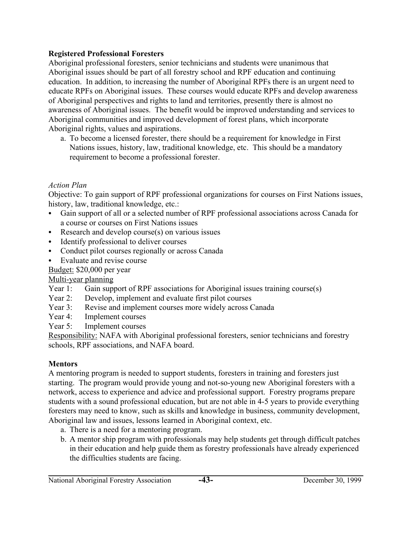### **Registered Professional Foresters**

Aboriginal professional foresters, senior technicians and students were unanimous that Aboriginal issues should be part of all forestry school and RPF education and continuing education. In addition, to increasing the number of Aboriginal RPFs there is an urgent need to educate RPFs on Aboriginal issues. These courses would educate RPFs and develop awareness of Aboriginal perspectives and rights to land and territories, presently there is almost no awareness of Aboriginal issues. The benefit would be improved understanding and services to Aboriginal communities and improved development of forest plans, which incorporate Aboriginal rights, values and aspirations.

a. To become a licensed forester, there should be a requirement for knowledge in First Nations issues, history, law, traditional knowledge, etc. This should be a mandatory requirement to become a professional forester.

## *Action Plan*

Objective: To gain support of RPF professional organizations for courses on First Nations issues, history, law, traditional knowledge, etc.:

- Gain support of all or a selected number of RPF professional associations across Canada for a course or courses on First Nations issues
- $\bullet$  Research and develop course(s) on various issues
- Identify professional to deliver courses
- Conduct pilot courses regionally or across Canada
- Evaluate and revise course

## Budget: \$20,000 per year

## Multi-year planning

- Year 1: Gain support of RPF associations for Aboriginal issues training course(s)
- Year 2: Develop, implement and evaluate first pilot courses
- Year 3: Revise and implement courses more widely across Canada
- Year 4: Implement courses
- Year 5: Implement courses

Responsibility: NAFA with Aboriginal professional foresters, senior technicians and forestry schools, RPF associations, and NAFA board.

# **Mentors**

A mentoring program is needed to support students, foresters in training and foresters just starting. The program would provide young and not-so-young new Aboriginal foresters with a network, access to experience and advice and professional support. Forestry programs prepare students with a sound professional education, but are not able in 4-5 years to provide everything foresters may need to know, such as skills and knowledge in business, community development, Aboriginal law and issues, lessons learned in Aboriginal context, etc.

- a. There is a need for a mentoring program.
- b. A mentor ship program with professionals may help students get through difficult patches in their education and help guide them as forestry professionals have already experienced the difficulties students are facing.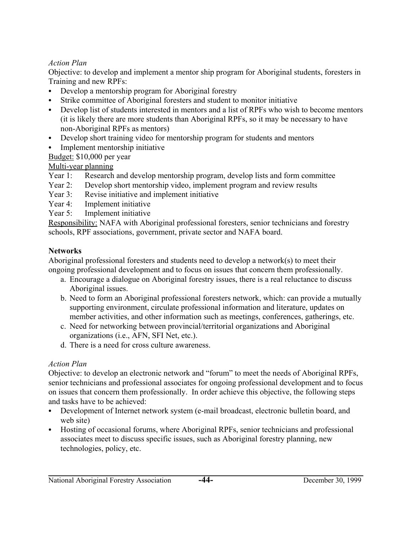### *Action Plan*

Objective: to develop and implement a mentor ship program for Aboriginal students, foresters in Training and new RPFs:

- Develop a mentorship program for Aboriginal forestry
- Strike committee of Aboriginal foresters and student to monitor initiative
- Develop list of students interested in mentors and a list of RPFs who wish to become mentors (it is likely there are more students than Aboriginal RPFs, so it may be necessary to have non-Aboriginal RPFs as mentors)
- Develop short training video for mentorship program for students and mentors
- Implement mentorship initiative

Budget: \$10,000 per year

Multi-year planning

- Year 1: Research and develop mentorship program, develop lists and form committee
- Year 2: Develop short mentorship video, implement program and review results
- Year 3: Revise initiative and implement initiative
- Year 4: Implement initiative
- Year 5: Implement initiative

Responsibility: NAFA with Aboriginal professional foresters, senior technicians and forestry schools, RPF associations, government, private sector and NAFA board.

## **Networks**

Aboriginal professional foresters and students need to develop a network(s) to meet their ongoing professional development and to focus on issues that concern them professionally.

- a. Encourage a dialogue on Aboriginal forestry issues, there is a real reluctance to discuss Aboriginal issues.
- b. Need to form an Aboriginal professional foresters network, which: can provide a mutually supporting environment, circulate professional information and literature, updates on member activities, and other information such as meetings, conferences, gatherings, etc.
- c. Need for networking between provincial/territorial organizations and Aboriginal organizations (i.e., AFN, SFI Net, etc.).
- d. There is a need for cross culture awareness.

## *Action Plan*

Objective: to develop an electronic network and "forum" to meet the needs of Aboriginal RPFs, senior technicians and professional associates for ongoing professional development and to focus on issues that concern them professionally. In order achieve this objective, the following steps and tasks have to be achieved:

- Development of Internet network system (e-mail broadcast, electronic bulletin board, and web site)
- Hosting of occasional forums, where Aboriginal RPFs, senior technicians and professional associates meet to discuss specific issues, such as Aboriginal forestry planning, new technologies, policy, etc.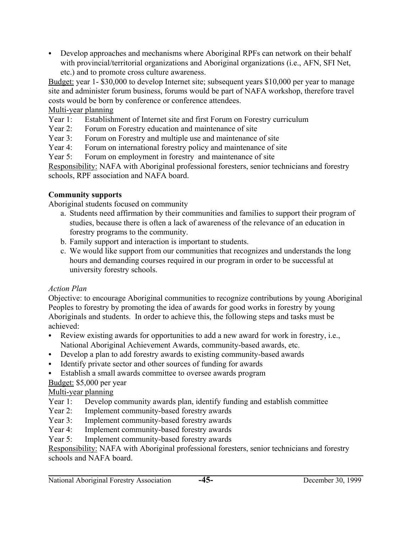• Develop approaches and mechanisms where Aboriginal RPFs can network on their behalf with provincial/territorial organizations and Aboriginal organizations (i.e., AFN, SFI Net, etc.) and to promote cross culture awareness.

Budget: year 1- \$30,000 to develop Internet site; subsequent years \$10,000 per year to manage site and administer forum business, forums would be part of NAFA workshop, therefore travel costs would be born by conference or conference attendees.

### Multi-year planning

- Year 1: Establishment of Internet site and first Forum on Forestry curriculum
- Year 2: Forum on Forestry education and maintenance of site
- Year 3: Forum on Forestry and multiple use and maintenance of site
- Year 4: Forum on international forestry policy and maintenance of site
- Year 5: Forum on employment in forestry and maintenance of site

Responsibility: NAFA with Aboriginal professional foresters, senior technicians and forestry schools, RPF association and NAFA board.

## **Community supports**

Aboriginal students focused on community

- a. Students need affirmation by their communities and families to support their program of studies, because there is often a lack of awareness of the relevance of an education in forestry programs to the community.
- b. Family support and interaction is important to students.
- c. We would like support from our communities that recognizes and understands the long hours and demanding courses required in our program in order to be successful at university forestry schools.

## *Action Plan*

Objective: to encourage Aboriginal communities to recognize contributions by young Aboriginal Peoples to forestry by promoting the idea of awards for good works in forestry by young Aboriginals and students. In order to achieve this, the following steps and tasks must be achieved:

- Review existing awards for opportunities to add a new award for work in forestry, i.e., National Aboriginal Achievement Awards, community-based awards, etc.
- Develop a plan to add forestry awards to existing community-based awards
- Identify private sector and other sources of funding for awards
- Establish a small awards committee to oversee awards program

## Budget: \$5,000 per year

# Multi-year planning

- Year 1: Develop community awards plan, identify funding and establish committee
- Year 2: Implement community-based forestry awards
- Year 3: Implement community-based forestry awards
- Year 4: Implement community-based forestry awards
- Year 5: Implement community-based forestry awards

Responsibility: NAFA with Aboriginal professional foresters, senior technicians and forestry schools and NAFA board.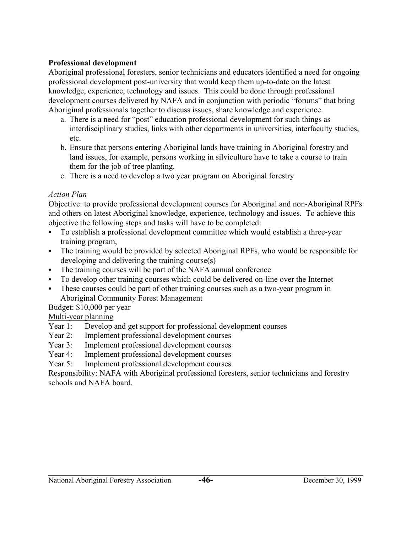### **Professional development**

Aboriginal professional foresters, senior technicians and educators identified a need for ongoing professional development post-university that would keep them up-to-date on the latest knowledge, experience, technology and issues. This could be done through professional development courses delivered by NAFA and in conjunction with periodic "forums" that bring Aboriginal professionals together to discuss issues, share knowledge and experience.

- a. There is a need for "post" education professional development for such things as interdisciplinary studies, links with other departments in universities, interfaculty studies, etc.
- b. Ensure that persons entering Aboriginal lands have training in Aboriginal forestry and land issues, for example, persons working in silviculture have to take a course to train them for the job of tree planting.
- c. There is a need to develop a two year program on Aboriginal forestry

### *Action Plan*

Objective: to provide professional development courses for Aboriginal and non-Aboriginal RPFs and others on latest Aboriginal knowledge, experience, technology and issues. To achieve this objective the following steps and tasks will have to be completed:

- To establish a professional development committee which would establish a three-year training program,
- The training would be provided by selected Aboriginal RPFs, who would be responsible for developing and delivering the training course(s)
- The training courses will be part of the NAFA annual conference
- To develop other training courses which could be delivered on-line over the Internet
- These courses could be part of other training courses such as a two-year program in Aboriginal Community Forest Management

## Budget: \$10,000 per year

## Multi-year planning

- Year 1: Develop and get support for professional development courses
- Year 2: Implement professional development courses
- Year 3: Implement professional development courses
- Year 4: Implement professional development courses
- Year 5: Implement professional development courses

Responsibility: NAFA with Aboriginal professional foresters, senior technicians and forestry schools and NAFA board.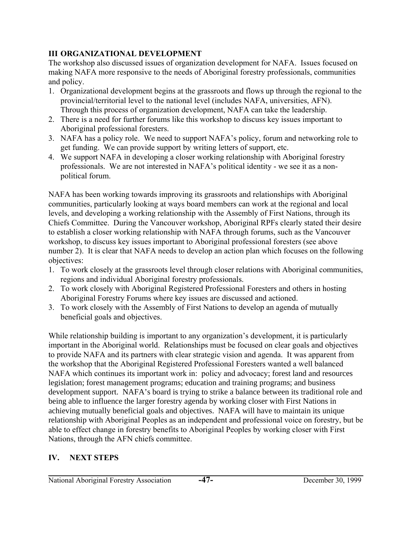## **III ORGANIZATIONAL DEVELOPMENT**

The workshop also discussed issues of organization development for NAFA. Issues focused on making NAFA more responsive to the needs of Aboriginal forestry professionals, communities and policy.

- 1. Organizational development begins at the grassroots and flows up through the regional to the provincial/territorial level to the national level (includes NAFA, universities, AFN). Through this process of organization development, NAFA can take the leadership.
- 2. There is a need for further forums like this workshop to discuss key issues important to Aboriginal professional foresters.
- 3. NAFA has a policy role. We need to support NAFA's policy, forum and networking role to get funding. We can provide support by writing letters of support, etc.
- 4. We support NAFA in developing a closer working relationship with Aboriginal forestry professionals. We are not interested in NAFA's political identity - we see it as a nonpolitical forum.

NAFA has been working towards improving its grassroots and relationships with Aboriginal communities, particularly looking at ways board members can work at the regional and local levels, and developing a working relationship with the Assembly of First Nations, through its Chiefs Committee. During the Vancouver workshop, Aboriginal RPFs clearly stated their desire to establish a closer working relationship with NAFA through forums, such as the Vancouver workshop, to discuss key issues important to Aboriginal professional foresters (see above number 2). It is clear that NAFA needs to develop an action plan which focuses on the following objectives:

- 1. To work closely at the grassroots level through closer relations with Aboriginal communities, regions and individual Aboriginal forestry professionals.
- 2. To work closely with Aboriginal Registered Professional Foresters and others in hosting Aboriginal Forestry Forums where key issues are discussed and actioned.
- 3. To work closely with the Assembly of First Nations to develop an agenda of mutually beneficial goals and objectives.

While relationship building is important to any organization's development, it is particularly important in the Aboriginal world. Relationships must be focused on clear goals and objectives to provide NAFA and its partners with clear strategic vision and agenda. It was apparent from the workshop that the Aboriginal Registered Professional Foresters wanted a well balanced NAFA which continues its important work in: policy and advocacy; forest land and resources legislation; forest management programs; education and training programs; and business development support. NAFA's board is trying to strike a balance between its traditional role and being able to influence the larger forestry agenda by working closer with First Nations in achieving mutually beneficial goals and objectives. NAFA will have to maintain its unique relationship with Aboriginal Peoples as an independent and professional voice on forestry, but be able to effect change in forestry benefits to Aboriginal Peoples by working closer with First Nations, through the AFN chiefs committee.

## **IV. NEXT STEPS**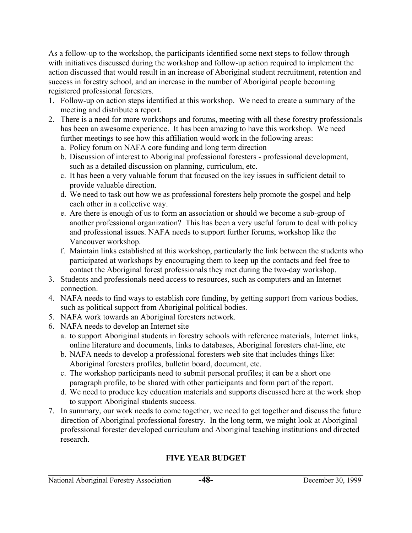As a follow-up to the workshop, the participants identified some next steps to follow through with initiatives discussed during the workshop and follow-up action required to implement the action discussed that would result in an increase of Aboriginal student recruitment, retention and success in forestry school, and an increase in the number of Aboriginal people becoming registered professional foresters.

- 1. Follow-up on action steps identified at this workshop. We need to create a summary of the meeting and distribute a report.
- 2. There is a need for more workshops and forums, meeting with all these forestry professionals has been an awesome experience. It has been amazing to have this workshop. We need further meetings to see how this affiliation would work in the following areas:
	- a. Policy forum on NAFA core funding and long term direction
	- b. Discussion of interest to Aboriginal professional foresters professional development, such as a detailed discussion on planning, curriculum, etc.
	- c. It has been a very valuable forum that focused on the key issues in sufficient detail to provide valuable direction.
	- d. We need to task out how we as professional foresters help promote the gospel and help each other in a collective way.
	- e. Are there is enough of us to form an association or should we become a sub-group of another professional organization? This has been a very useful forum to deal with policy and professional issues. NAFA needs to support further forums, workshop like the Vancouver workshop.
	- f. Maintain links established at this workshop, particularly the link between the students who participated at workshops by encouraging them to keep up the contacts and feel free to contact the Aboriginal forest professionals they met during the two-day workshop.
- 3. Students and professionals need access to resources, such as computers and an Internet connection.
- 4. NAFA needs to find ways to establish core funding, by getting support from various bodies, such as political support from Aboriginal political bodies.
- 5. NAFA work towards an Aboriginal foresters network.
- 6. NAFA needs to develop an Internet site
	- a. to support Aboriginal students in forestry schools with reference materials, Internet links, online literature and documents, links to databases, Aboriginal foresters chat-line, etc
	- b. NAFA needs to develop a professional foresters web site that includes things like: Aboriginal foresters profiles, bulletin board, document, etc.
	- c. The workshop participants need to submit personal profiles; it can be a short one paragraph profile, to be shared with other participants and form part of the report.
	- d. We need to produce key education materials and supports discussed here at the work shop to support Aboriginal students success.
- 7. In summary, our work needs to come together, we need to get together and discuss the future direction of Aboriginal professional forestry. In the long term, we might look at Aboriginal professional forester developed curriculum and Aboriginal teaching institutions and directed research.

# **FIVE YEAR BUDGET**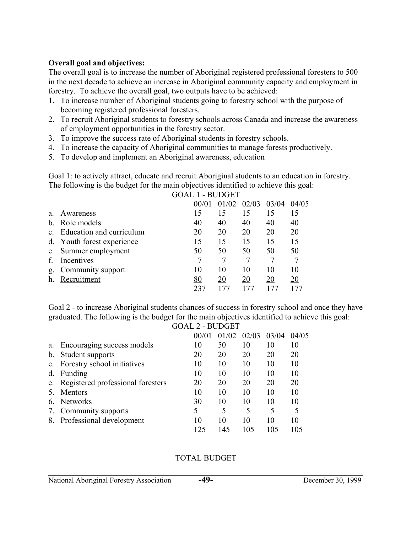#### **Overall goal and objectives:**

The overall goal is to increase the number of Aboriginal registered professional foresters to 500 in the next decade to achieve an increase in Aboriginal community capacity and employment in forestry. To achieve the overall goal, two outputs have to be achieved:

- 1. To increase number of Aboriginal students going to forestry school with the purpose of becoming registered professional foresters.
- 2. To recruit Aboriginal students to forestry schools across Canada and increase the awareness of employment opportunities in the forestry sector.
- 3. To improve the success rate of Aboriginal students in forestry schools.
- 4. To increase the capacity of Aboriginal communities to manage forests productively.
- 5. To develop and implement an Aboriginal awareness, education

Goal 1: to actively attract, educate and recruit Aboriginal students to an education in forestry. The following is the budget for the main objectives identified to achieve this goal:

|              |                            | 00/01 | 01/02 | 02/03 | 03/04 | 04/05 |
|--------------|----------------------------|-------|-------|-------|-------|-------|
| a.           | Awareness                  | 15    | 15    | 15    | 15    |       |
| <sub>b</sub> | Role models                | 40    | 40    | 40    | 40    | 40    |
| $\mathbf{c}$ | Education and curriculum   | 20    | 20    | 20    | 20    | 20    |
|              | d. Youth forest experience | 15    | 15    | 15    | 15    | 15    |
|              | e. Summer employment       | 50    | 50    | 50    | 50    | 50    |
|              | Incentives                 |       |       |       |       |       |
| g.           | Community support          | 10    | 10    | 10    | 10    | 10    |
| h.           | Recruitment                | 80    | 20    | 20    | 20    | 20    |
|              |                            |       |       |       |       |       |

GOAL 1 - BUDGET

Goal 2 - to increase Aboriginal students chances of success in forestry school and once they have graduated. The following is the budget for the main objectives identified to achieve this goal:

|             | <b>GOAL 2 - BUDGET</b>               |       |       |       |       |       |
|-------------|--------------------------------------|-------|-------|-------|-------|-------|
|             |                                      | 00/01 | 01/02 | 02/03 | 03/04 | 04/05 |
| a.          | Encouraging success models           | 10    | 50    | 10    | 10    | 10    |
| $b_{\cdot}$ | Student supports                     | 20    | 20    | 20    | 20    | 20    |
|             | c. Forestry school initiatives       | 10    | 10    | 10    | 10    | 10    |
| d.          | Funding                              | 10    | 10    | 10    | 10    | 10    |
|             | e. Registered professional foresters | 20    | 20    | 20    | 20    | 20    |
|             | Mentors                              | 10    | 10    | 10    | 10    | 10    |
| h.          | <b>Networks</b>                      | 30    | 10    | 10    | 10    | 10    |
| 7.          | Community supports                   |       | 5     | 5     | 5     | 5     |
|             | Professional development             |       | 10    | 10    | 10    | 10    |
|             |                                      | 125   | 145   | 105   | 105   | 105   |

### TOTAL BUDGET